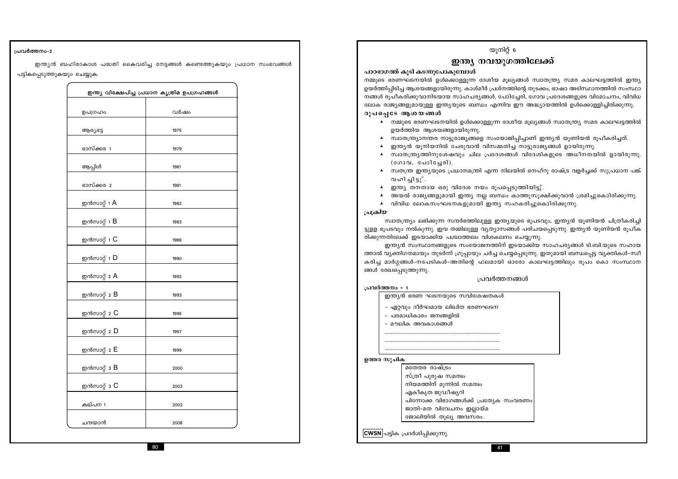### പ്രവർത്തനം-2

ഇന്ത്യൻ ബഹിരാകാശ പദ്ധതി കൈവരിച്ച നേട്ടങ്ങൾ കണ്ടെത്തുകയും പ്രധാന സംഭവങ്ങൾ പട്ടികപ്പെടുത്തുകയും ചെയ്യുക.

|                              | ഇന്ത്യ വിക്ഷേപിച്ച പ്രധാന കൃത്രിമ ഉപഗ്രഹങ്ങൾ |
|------------------------------|----------------------------------------------|
| ഉപഗ്രഹം                      | വർഷം                                         |
| ആര്യഭട്ട                     | 1975                                         |
| ഭാസ്ക്കര 1                   | 1979                                         |
| ആപ്പിൾ                       | 1981                                         |
| ഭാസ്ക്കര 2                   | 1981                                         |
| ഇൻസാറ്റ് 1 $\mathsf{A}$      | 1982                                         |
| ഇൻസാറ്റ് 1 $\mathsf B$       | 1983                                         |
| ഇൻസാറ്റ് 1 $\mathsf C$       | 1988                                         |
| ഇൻസാറ്റ് 1 <b>D</b>          | 1990                                         |
| ഇൻസാറ്റ് 2 $\bm{A}$          | 1992                                         |
| ഇൻസാറ്റ് 2 B                 | 1993                                         |
| ഇൻസാറ്റ് $_2$ C              | 1995                                         |
| ഇൻസാറ്റ് 2 $\mathsf D$       | 1997                                         |
| ഇൻസാറ്റ് 2 E                 | 1999                                         |
| ഇൻസാറ്റ് $\,$ 3 $\, {\bf B}$ | 2000                                         |
| ഇൻസാറ്റ് $3$ $C$             | 2002                                         |
| കല്പന 1                      | 2002                                         |
| ചന്ദയാൻ                      | 2008                                         |

|                       | യരിച്ച മാശ്ശമാരം നാരവായരം അത്തരികള് നാണ്ടതായി ഓ |           |
|-----------------------|-------------------------------------------------|-----------|
|                       | ങ്ങൾ രേഖപ്പെടുത്തുന്നു.                         |           |
|                       |                                                 | പ്രവർത്തന |
| പ്രവർത്തനം - 1        |                                                 |           |
|                       | ഇന്ത്യൻ ഭരണ ഘടനയുടെ സവിശേഷതകൾ                   |           |
|                       | - ഏറ്റവും ദീർഘമായ ലിഖിത ഭരണഘടന                  |           |
| - പരമാധികാരം ജനങ്ങളിൽ |                                                 |           |
|                       | - മൗലിക അവകാശങ്ങൾ                               |           |
|                       |                                                 |           |
|                       |                                                 |           |
|                       |                                                 |           |
| ഉത്തര സൂചിക           |                                                 |           |
|                       | മതേതര രാഷ്ട്രം                                  |           |
|                       | സ്ത്രീ പുരുഷ സമത്വം                             |           |
|                       | നിയമത്തിന് മുന്നിൽ സമത്വം                       |           |
| ഏകീകൃത ജുഡീഷ്യറി      |                                                 |           |
|                       | പിന്നോക്ക വിഭാഗങ്ങൾക്ക് പ്രത്യേക സം             |           |
|                       | ജാതി-മത വിവേചനം ഇല്ലായ്മ                        |           |
|                       | ജോലിയിൽ തുല്യ അവസരം.                            |           |

<mark>CWSN</mark> പട്ടിക പ്രദർശിപ്പിക്കുന്നു.

പ്രക്രിയ സ്വാതന്ത്ര്യം ലഭിക്കുന്ന സന്ദർഭത്തിലുള്ള ഇന്ത്യയുടെ ഭൂപടവും, ഇന്ത്യൻ യൂണിയൻ ചിത്രീകരിച്ചി ട്ടുളള ഭൂപടവും നൽകുന്നു. ഇവ തമ്മിലുള്ള വ്യത്യാസങ്ങൾ പരിചയപ്പെടുന്നു. ഇന്ത്യൻ യൂണിയൻ രൂപീക രിക്കുന്നതിലേക്ക് ഇടയാക്കിയ പശ്ചാത്തലം വിശകലനം ചെയ്യുന്നു.

- ▲ വിവിധ ലോകസംഘടനകളുമായി ഇന്ത്യ സഹകരിച്ചുകൊിരിക്കുന്നു.
- 
- വഹിച്ചിട്ടു്. ഇന്ത്യ തനതായ ഒരു വിദേശ നയം രൂപപ്പെടുത്തിയിട്ടു്.  $\blacktriangle$  $\blacktriangle$
- $(\& \text{non}, \& \text{non} \& \text{non}).$ ▲ സ്വതന്ത്ര ഇന്ത്യയുടെ പ്രധാനമന്ത്രി എന്ന നിലയിൽ നെഹ്റു രാഷ്ട്ര വളർച്ചക്ക് സുപ്രധാന പങ്ക്
- $\blacktriangle$
- 
- $\blacktriangle$
- ഉയർത്തിയ ആശയങ്ങളായിരുന്നു.
- ▲ നമ്മുടെ ഭരണഘടനയിൽ ഉൾക്കൊള്ളുന്ന ദേശീയ മൂല്യങ്ങൾ സ്വാതന്ത്ര്യ സമര കാലഘട്ടത്തിൽ

രൂപപ്പെടേ ആശയങ്ങൾ

പാഠഭാഗത്ത് കൂടി കടന്നുപോകുമ്പോൾ നമ്മുടെ ഭരണഘടനയിൽ ഉൾക്കൊള്ളുന്ന ദേശീയ മൂല്യങ്ങൾ സ്വാതന്ത്ര്യ സമര കാലഘട്ടത്തിൽ ഇന്ത്യ ഉയർത്തിപ്പിടിച്ച ആശയങ്ങളായിരുന്നു. കാശ്മീർ പ്രശ്നത്തിന്റെ തുടക്കം, ഭാഷാ അടിസ്ഥാനത്തിൽ സംസ്ഥാ നങ്ങൾ രൂപീകരിക്കുവാനിടയായ സാഹചര്യങ്ങൾ, പോിച്ചേരി, ഗോവ പ്രദേശങ്ങളുടെ വിമോചനം, വിവിധ ലോക രാജ്യങ്ങളുമായുള്ള ഇന്ത്യയുടെ ബന്ധം എന്നിവ ഈ അദ്ധ്യായത്തിൽ ഉൾക്കൊള്ളിച്ചിരിക്കുന്നു.

# ഇന്ത്യ നവയുഗത്തിലേക്ക്

യൂനിറ്റ് 6

▲ സ്വാതന്ത്ര്യാനന്തര നാട്ടുരാജ്യങ്ങളെ സംയോജിപ്പിച്ചാണ് ഇന്ത്യൻ യൂണിയൻ രൂപീകരിച്ചത്. ഇന്ത്യൻ യൂനിയനിൽ ചേരുവാൻ വിസമ്മതിച്ച നാട്ടുരാജ്യങ്ങൾ ഉായിരുന്നു.

സ്വാതന്ത്ര്യത്തിനുശേഷവും ചില പ്രദേശങ്ങൾ വിദേശികളുടെ അധീനതയിൽ ഉായിരുന്നു.

അയൽ രാജ്യങ്ങളുമായി ഇന്ത്യ നല്ല ബന്ധം കാത്തുസൂക്ഷിക്കുവാൻ ശ്രമിച്ചുകൊിരിക്കുന്നു.

ഇന്ത്യൻ സംസ്ഥാനങ്ങളുടെ സംയോജനത്തിന് ഇടയാക്കിയ സാഹചര്യങ്ങൾ ടി.ബി.യുടെ സഹായ ത്താൽ വ്യക്തിഗതമായും തുടർന്ന് ഗ്രൂപ്പായും ചർച്ച ചെയ്യപ്പെടുന്നു. ഇതുമായി ബന്ധപ്പെട്ട വ്യക്തികൾ–സ്വീ കരിച മാർഗ്ഗങ്ങൾ-നടപടികൾ-അതിന്റെ ഫലമായി ഓരോ കാലഘട്ടത്തിലും രൂപം കൊ സംസ്ഥാന

റങ്ങൾ

രവരണം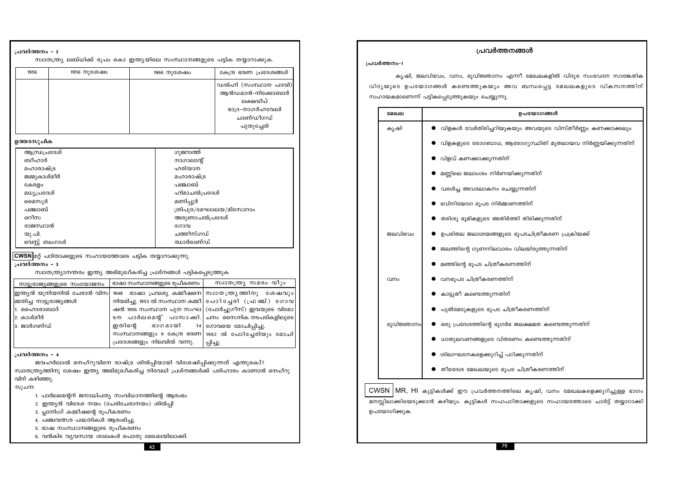| ്രിലാക്കി |
|-----------|
|           |

സ്വാതന്ത്ര്യാനന്തരം ഇന്ത്യ അഭിമുഖീകരിച്ച പ്രശ്നങ്ങൾ പട്ടികപ്പെടുത്തുക സ്വാതന്ത്ര്യ സമരം വീും ഭാഷാ സംസ്ഥാനങ്ങളുടെ രൂപീകരണം നാട്ടുരാജ്യങ്ങളുടെ സംയോജനം ഇന്ത്യൻ യൂനിയനിൽ ചേരാൻ വിസ 1948 ഭാഷാ പ്രവശ്യ കമ്മീഷനെ സ്വാതന്ത്ര്യത്തിനു ശേഷവും |മ്മതിച്ച നാട്ടുരാജ്യങ്ങൾ നിയമിച്ചു. 1953 ൽ സംസ്ഥാന കമ്മീ | പോി ച്ചേരി (ഫ്ര ഞ്ച് ) ഗോവ | (പോർച്ചുഗീസ്) ഇവയുടെ വിമോ 1. ഹൈദരാബാദ് ഷൻ 1956 സംസ്ഥാന പുന സംഘ| |2. കാശ്മീർ ടന പാർലമെന്റ് പാസാക്കി. ്ചനം സൈനിക നടപടികളിലൂടെ 3. ജാർഗണ്ഡ് ഇതിന്റെ ഭാഗമായി 14 ഗോവയെ മോചിപ്പിച്ചു. സംസ്ഥാനങ്ങളും 6 കേന്ദ്ര ഭരണ | 1962 ൽ പോിച്ചേരിയും മോചി പ്രദേശങ്ങളും നിലവിൽ വന്നു. പ്പിച്ചു.

സ്വാതന്ത്ര്യ ലബ്ധിക്ക് രൂപം കൊ ഇന്ത്യയിലെ സംസ്ഥാനങ്ങളുടെ പട്ടിക തയ്യാറാക്കുക.

1966 നുശേഷം

ഗുജറാത്ത്

നാഗാലാന്റ്

ഹരിയാന

പഞ്ചാബ്

മണിപ്പൂർ

ഗോവ

ചത്തീസ്ഗഡ്

ഝാർഖണ്ഡ്

മഹാരാഷ്ട്ര

ഹിമാചൽപ്രദേശ്

അരുണാചൽപ്രദേശ്

ത്രിപുര/മേഘാലയ/മിസോറാം

കേന്ദ്ര ഭരണ പ്രദേശങ്ങൾ

ഡൽഹി (സംസ്ഥാന പദവി)

ആൻഡമാൻ-നിക്കോബാർ ലക്ഷദ്വീപ് ഭാദ്ര-നാഗർഹവേലി

> ചാണ്ഡീഗഡ് പുതുച്ചേരി

### പ്രവർത്തനം - 4

പ്രവർത്തനം - 2

1956

ഉത്തരസൂചിക

ബീഹാർ

കേരളം

മൈസൂർ

പഞ്ചാബ്

രാജസ്ഥാൻ

വെസ്റ്റ് ബംഗാൾ

ഓീസ

യു.പി.

പ്രവർത്തനം - 3

മഹാരാഷ്ട്ര

മധ്യപ്രദേശ്

ജമ്മുകാശ്മീർ

ആന്ധ്രപ്രദേശ്

1956 നുശേഷം

ജവഹർലാൽ നെഹ്റുവിനെ രാഷ്ട്ര ശിൽപ്പിയായി വിശേഷിപ്പിക്കുന്നത് എന്തുകൊ്? സ്വാതന്ത്ര്യത്തിനു ശേഷം ഇന്ത്യ അഭിമുഖീകരിച്ച നിരവധി പ്രശ്നങ്ങൾക്ക് പരിഹാരം കാണാൻ നെഹ്റു വിന് കഴിഞ്ഞു.

സൂചന:

- 1. പാർലമെന്ററി ജനാധിപത്യ സംവിധാനത്തിന്റെ ആരംഭം
- 2. ഇന്ത്യൻ വിദേശ നയം (ചേരിചേരാനയം) ശിൽപ്പി

|CWSN|മറ്റ് പഠിതാക്കളുടെ സഹായത്തോടെ പട്ടിക തയ്യാറാക്കുന്നു.

- 3. പ്ലാനിംഗ് കമ്മീഷന്റെ രൂപീകരണം
- 4. പഞ്ചവത്സര പദ്ധതികൾ ആരംഭിച്ചു.
- 5. ഭാഷ സംസ്ഥാനങ്ങളുടെ രൂപീകരണം
- 6. വൻകിട വൃവസായ ശാലകൾ പൊതു മേഖല

|              | കൃഷി, ജലവിഭവം, വനം, ഭൂവിജ് <mark>ഞാനം എ</mark> |
|--------------|------------------------------------------------|
|              | വിദൃയുടെ ഉപയോഗങ്ങൾ കണ്ടെത്തുകയും അ             |
|              | സഹായകമാണെന്ന് പട്ടികപ്പെടുത്തുകയും ചെയ്യുന്നു. |
| മേഖല         |                                                |
| കൃഷി         | വിളകൾ വേർതിരിച്ചറിയുക്ക                        |
|              | വിളകളുടെ രോഗബാധ, ആ                             |
|              | വിളവ് കണക്കാക്കുന്നതിന്                        |
|              | മണ്ണിലെ ജലാംശം നിർണയി                          |
|              | വരൾച്ച അവലോകനം ചെര്                            |
|              | ഭവിനിയോഗ ഭൂപട നിർമ്മാം                         |
|              | തരിശു ഭൂമികളുടെ അതിർര                          |
| ജലവിഭവം      | ഉപരിതല ജലാശയങ്ങളുടെ                            |
|              | ജലത്തിന്റെ ഗുണനിലവാരം                          |
|              | മഞ്ഞിന്റെ ഭൂപട ചിത്രീകരണ                       |
| വനം          | വനഭൂപട ചിത്രീകരണത്തിന്                         |
|              | കാട്ടുതീ കണ്ടെത്തുന്നതിന്                      |
|              | പുൽമേടുകളുടെ ഭൂപട ചിശ്ര                        |
| ഭൂവിജ്ഞാനം   | ഒരു പ്രദേശത്തിന്റെ ഭൂഗർഭ                       |
|              | ധാതുലവണങ്ങളുടെ വിതര                            |
|              | ശിലാഘടനകളെക്കുറിച്ച് പറ                        |
|              | തീരദേശ മേഖലയുടെ ഭൂപട                           |
|              | CWSN   MR, HI കുട്ടികൾക്ക് ഈ പ്രവർത്തനത്തി     |
|              | മനസ്സിലാക്കിയെടുക്കാൻ കഴിയും. കുട്ടികൾ സഹപഠ    |
| ഉപയോഗിക്കുക. |                                                |

ന്നീ മേഖലകളിൽ വിദൂര സംവേദന സാങ്കേതിക വ ബന്ധപ്പെട്ട മേഖലകളുടെ വികസനത്തിന്

പ്രവർത്തനം-1

പ്രവർത്തനങ്ങൾ

### ഉപയോഗങ്ങൾ

യും അവയുടെ വിസ്തീർണ്ണം കണക്കാക്കലു<mark>ം</mark>

രോഗ്യസ്ഥിതി മുതലായവ നിർണ്ണയിക്കുന്നതിന്

ിക്കുന്നതിന്

യ്യുന്നതിന്

നത്തിന്

ന്തി തിരിക്കുന്നതിന്

ഭൂപടചിത്രീകരണ പ്രക്രിയക്ക്

വിലയിരുത്തുന്നതിന്

നത്തിന്

മീകരണത്തിന്

ജലക്ഷമത കണ്ടെത്തുന്നതിന്

ണം കണ്ടെത്തുന്നതിന്

ിക്കുന്നതിന്

ട ചിത്രീകരണത്തിന്

lലെ കൃഷി, വനം മേഖലകളെക്കുറിച്ചുള്ള ഭാഗ<mark>ം</mark> .<br>ിതാക്കളുടെ സഹായത്തോടെ ചാർട്ട് തയ്യാറാക്കി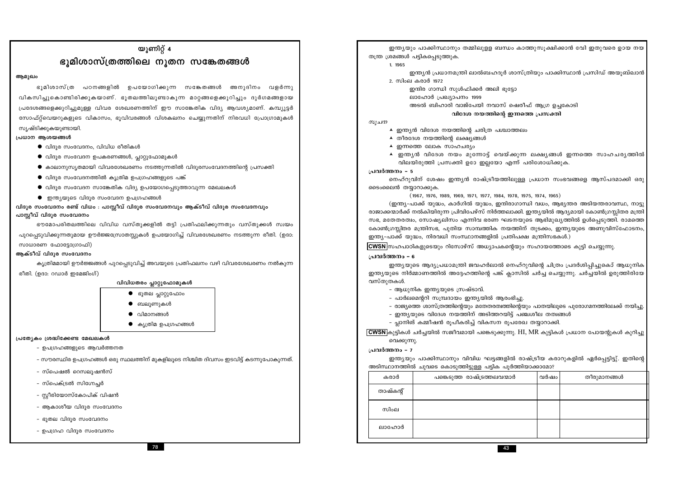തന്ത്ര ശ്രമങ്ങൾ പട്ടികപ്പെടുത്തുക.

2. സിംല കരാർ 1972

ലാഹോർ പ്രഖ്യാപനം 1999

 $\blacktriangle$  തീരദേശ നയത്തിന്റെ ലക്ഷ്യങ്ങൾ ▲ ഇന്നത്തെ ലോക സാഹചര്യം

- ആധുനിക ഇന്ത്യയുടെ സ്രഷ്ടാവ്.

1. 1965

സുചന

പ്രവർത്തനം - 5

പ്രവർത്തനം - 6

വസ്തുതകൾ.

വെക്കുന്നു.

പ്രവർത്തനം - 7

കരാർ

താഷ്കൻ്

സിംല

ലാഹോർ

ടൈംലൈൻ തയ്യാറാക്കുക.

78

- ഉപഗ്രഹ വിദൂര സംവേദനം
- ഭൂതല വിദൂര സംവേദനം
- 
- 
- 
- 
- 
- 
- 
- 
- 
- 
- 
- 
- 
- 
- 
- 
- 
- 
- 
- 
- 
- 
- ആകാശീയ വിദുര സംവേദനം
- 
- 
- 
- 
- 
- 
- 
- സ്രീരിയോസ്കോപിക് വിഷൻ
- 
- സ്പെക്ട്രൽ സിഗ്നേചർ
- സ്പെഷൽ റെസലൂഷൻസ്
- സൗരസ്ഥിര ഉപഗ്രഹങ്ങൾ ഒരു സ്ഥലത്തിന് മുകളിലുടെ നിശ്ചിത ദിവസം ഇടവിട്ട് കടന്നുപോകുന്നത്.
- 
- 
- ഉപഗ്രഹങ്ങളുടെ ആവർത്തനത
- പ്രത്യേകം ശ്രദ്ധിക്കേണ്ട മേഖലകൾ
- $\bullet$  കൃത്രിമ ഉപഗ്രഹങ്ങൾ

● ഭൂതല പ്ലാറ്റുഫോം

 $\bullet$  ബലുണുകൾ

വിമാനങ്ങൾ

- കൃത്രിമമായി ഊർജ്ജങ്ങൾ പുറപ്പെടുവിച്ച് അവയുടെ പ്രതിഫലനം വഴി വിവരശേഖരണം നൽകുന്ന വിവിധതരം പ്ലാറ്റുഫോമുകൾ
- രീതി. (ഉദാ: റഡാർ ഇമേജിംഗ്)

സാധാരണ ഫോട്ടോഗ്രാഫി)

ആക്ടീവ് വിദുര സംവേദനം

ആമുഖം

സ്യഷ്ടിക്കുകയുണ്ടായി.

പ്രധാന ആശയങ്ങൾ

പുറപ്പെടുവിക്കുന്നതുമായ ഊർജ്ജസ്രോതസ്സുകൾ ഉപയോഗിച്ച് വിവരശേഖരണം നടത്തുന്ന രീതി. (ഉദാ:

 $\bullet$  വിദൂര സംവേദനം, വിവിധ രീതികൾ

പാസ്സീവ് വിദൂര സംവേദനം ഭൗമോപരിതലത്തിലെ വിവിധ വസ്തുക്കളിൽ തട്ടി പ്രതിഫലിക്കുന്നതും വസ്തുക്കൾ സ്വയം

യൂണിറ്റ്  $4$ 

ഭൂമിശാസ്ത്രത്തിലെ നൂതന സങ്കേതങ്ങൾ

വികസിച്ചുകൊണ്ടിരിക്കുകയാണ്. ഭൂതലത്തിലൂണ്ടാകൂന്ന മാറ്റങ്ങളെക്കൂറിച്ചും ദൂർഗമങ്ങളായ

പ്രദേശങ്ങളെക്കുറിച്ചുമുള്ള വിവര ശേഖരണത്തിന് ഈ സാങ്കേതിക വിദ്യ ആവശ്യമാണ്. കമ്പ്യൂട്ടർ

സോഫ്റ്റ്വെയറുകളുടെ വികാസം, ഭൂവിവരങ്ങൾ വിശകലനം ചെയ്യുന്നതിന് നിരവധി പ്രോഗ്രാമുകൾ

 $\bullet$  കാലാനുസൃതമായി വിവരശേഖരണം നടത്തുന്നതിൽ വിദൂരസംവേദനത്തിന്റെ പ്രസക്തി

ഭൂമിശാസ്ത്ര പഠനങ്ങളിൽ ഉപയോഗിക്കുന്ന സങ്കേതങ്ങൾ അനുദിനം വളർന്നു

 $\bullet$  ഇന്ത്യയുടെ വിദൂര സംവേദന ഉപഗ്രഹങ്ങൾ വിദൂര സംവേദനം രണ്ട് വിധം : പാസ്സീവ് വിദൂര സംവേദനവും ആക്ടീവ് വിദൂര സംവേദനവും

- 
- 
- 
- $\bullet$  വിദൂര സംവേദന സാങ്കേതിക വിദ്യ ഉപയോഗപ്പെടുത്താവുന്ന മേഖലകൾ
- 
- 
- 
- 
- 
- 
- 
- 
- 
- 
- 
- $\bullet$  വിദൂര സംവേദനത്തിൽ കൃത്രിമ ഉപഗ്രഹങ്ങളുടെ പങ്ക്
- 
- 
- 
- 
- 
- 
- 
- 
- 
- 
- 

 $\bullet$  വിദൂര സംവേദന ഉപകരണങ്ങൾ, പ്ലാറ്റുഫോമുകൾ

- 
- 
- 
- 
- 
- 
- 
- 

ഇന്ത്യയും പാക്കിസ്ഥാനും തമ്മിലുള്ള ബന്ധം കാത്തുസുക്ഷിക്കാൻ വേി ഇതുവരെ ഉായ നയ ഇന്ത്യൻ പ്രധാനമന്ത്രി ലാൽബഹദുർ ശാസ്ത്രിയും പാക്കിസ്ഥാൻ പ്രസിഡ് അയുബ്ഖാൻ ഇന്ദിര ഗാന്ധി സുൾഫിക്കർ അലി ഭൂട്ടോ അടൽ ബിഹാരി വാജ്പേയി നവാസ് ഷെരീഫ് ആഗ്ര ഉച്ചകോടി വിദേശ നയത്തിന്റെ ഇന്നത്തെ പ്രസക്തി ▲ ഇന്ത്യൻ വിദേശ നയത്തിന്റെ ചരിത്ര പശ്ചാത്തലം ▲ ഇന്ത്യൻ വിദേശ നയം മുന്നോട്ട് വെയ്ക്കുന്ന ലക്ഷ്യങ്ങൾ ഇന്നത്തെ സാഹചര്യത്തിൽ വിലയിരുത്തി പ്രസക്തി ഉഠേ ഇല്ലയോ എന്ന് പരിശോധിക്കുക. നെഹ്റുവിന് ശേഷം ഇന്ത്യൻ രാഷ്ട്രീയത്തിലുള്ള പ്രധാന സംഭവങ്ങളെ ആസ്പദമാക്കി ഒരു  $(1967, 1976, 1989, 1969, 1971, 1977, 1984, 1978, 1975, 1974, 1965)$ (ഇന്ത്യ-പാക്ക് യുദ്ധം, കാർഗിൽ യുദ്ധം, ഇന്ദിരാഗാന്ധി വധം, ആഭ്യന്തര അടിയന്തരാവസ്ഥ, നാട്ടു രാജാക്കന്മാർക്ക് നൽകിയിരുന്ന പ്രിവിപേഴ്സ് നിർത്തലാക്കി. ഇന്ത്യയിൽ ആദ്യമായി കോൺഗ്രസ്സിതര മന്ത്രി സഭ, മതേതരത്വം, സോഷ്യലിസം എന്നിവ ഭരണ ഘടനയുടെ ആഭിമുഖ്യത്തിൽ ഉൾപെടുത്തി. രാമത്തെ കോൺഗ്രസ്കിതര മന്ത്രിസഭ, പുതിയ സാമ്പത്തിക നയത്തിന് തുടക്കം, ഇന്ത്യയുടെ അണുവിസ്ഫോടനം, ഇന്ത്യ-പാക്ക് യുദ്ധം, നിരവധി സംസ്ഥാനങ്ങളിൽ പ്രതിപക്ഷ മന്ത്രിസഭകൾ.) CWSN സഹപാഠികളുടെയും റിസോഴ്സ് അധ്യാപകന്റെയും സഹായത്തോടെ കൂട്ടി ചെയ്യുന്നു. ഇന്ത്യയുടെ ആദ്യപ്രധാമന്ത്രി ജവഹർലാൽ നെഹ്റുവിന്റെ ചിത്രം പ്രദർശിപ്പിച്ചുകൊ് ആധുനിക ഇന്ത്യയുടെ നിർമ്മാണത്തിൽ അദ്ദേഹത്തിന്റെ പങ്ക് ക്ലാസിൽ ചർച്ച ചെയ്യുന്നു. ചർച്ചയിൽ ഉരുത്തിരിയേ - പാർലമെന്ററി സമ്പ്രദായം ഇന്ത്യയിൽ ആരംഭിച്ചു. – രാജ്യത്തെ ശാസ്ത്രത്തിന്റെയും മതേതരത്വത്തിന്റെയും പാതയിലൂടെ പുരോഗമനത്തിലേക്ക് നയിച്ചു. - ഇന്ത്യയുടെ വിദേശ നയത്തിന് അടിത്തറയിട്ട് പഞ്ചശീല തത്വങ്ങൾ - പ്ലാനിങ് കമ്മീഷൻ രൂപീകരിച്ച് വികസന രൂപരേഖ തയ്യാറാക്കി.  $\overline{\text{CWSN}}$ കുട്ടികൾ ചർച്ചയിൽ സജീവമായി പങ്കെടുക്കുന്നു. HI, MR കുട്ടികൾ പ്രധാന പോയന്റുകൾ കുറിച്ചു ഇന്ത്യയും പാക്കിസ്ഥാനും വിവിധ ഘട്ടങ്ങളിൽ രാഷ്ട്രീയ കരാറുകളിൽ ഏർപ്പെട്ടിട്ടു്. ഇതിന്റെ അടിസ്ഥാനത്തിൽ ചുവടെ കൊടുത്തിട്ടുള്ള പട്ടിക പൂർത്തിയാക്കാമോ? തീരുമാനങ്ങൾ പങ്കെടുത്ത രാഷ്ട്രത്തലവന്മാർ വർഷം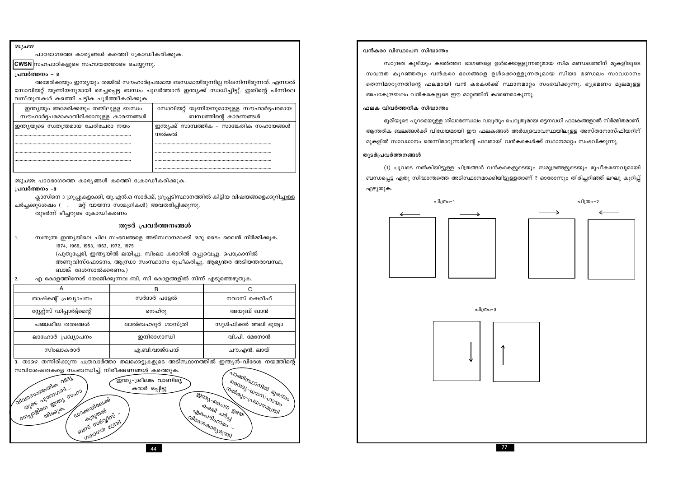$\sim$ 

|                                                                                                                                                               | പാഠഭാഗത്തെ കാര്യങ്ങൾ കത്തെി ക്രോഡീകരിക്കുക. |                                                                      | വൻകരാ വിസ്ഥാപന റ    |
|---------------------------------------------------------------------------------------------------------------------------------------------------------------|---------------------------------------------|----------------------------------------------------------------------|---------------------|
| CWSN സഹപാഠികളുടെ സഹായത്തോടെ ചെയ്യുന്നു.                                                                                                                       |                                             |                                                                      | സാന്ദ്രത കൂടി       |
| പ്രവർത്തനം - 8                                                                                                                                                |                                             |                                                                      | സാന്ദ്രത കുറഞ്ഞതു   |
| അമേരിക്കയും ഇന്ത്യയും തമ്മിൽ സൗഹാർദ്ദപരമായ ബന്ധമായിരുന്നില്ല നിലനിന്നിരുന്നത്. എന്നാൽ                                                                         |                                             |                                                                      | തെന്നിമാറുന്നതിന്റെ |
| സോവിയറ്റ് യൂണിയനുമായി മെച്ചപ്പെട്ട ബന്ധം പുലർത്താൻ ഇന്ത്യക്ക് സാധിച്ചിട്ടു്. ഇതിന്റെ പിന്നിലെ                                                                 |                                             |                                                                      | അപകേന്ദ്രബലം വൻം    |
| വസ്തുതകൾ കത്തെി പട്ടിക പൂർത്തീകരിക്കുക.                                                                                                                       |                                             |                                                                      |                     |
| ഇന്ത്യയും അമേരിക്കയും തമ്മിലുളള ബന്ധം                                                                                                                         |                                             | സോവിയറ്റ് യൂണിയനുമായുള്ള സൗഹാർദ്ദപരമായ                               | ഫലക വിവർത്തനിക ര    |
| സൗഹാർദ്ദപരമാകാതിരിക്കാനുള്ള കാരണങ്ങൾ                                                                                                                          |                                             | ബന്ധത്തിന്റെ കാരണങ്ങൾ                                                | ഭൂമിയുടെ പുറഒ       |
| ഇന്ത്യയുടെ സ്വതന്ത്രമായ ചേരിചേരാ നയം                                                                                                                          | നൽകൽ                                        | ഇന്ത്യക്ക് സാമ്പത്തിക - സാങ്കേതിക സഹായങ്ങൾ                           | ആന്തരിക ബലങ്ങൾക     |
|                                                                                                                                                               |                                             |                                                                      | മുകളിൽ സാവധാനം      |
|                                                                                                                                                               |                                             |                                                                      | തുടർപ്രവർത്തനങ്ങൾ   |
|                                                                                                                                                               |                                             |                                                                      |                     |
|                                                                                                                                                               |                                             |                                                                      | (1) ചുവടെ നര        |
| <i>സൂചന:</i> പാഠഭാഗത്തെ കാര്യങ്ങൾ കത്തെി ക്രോഡീകരിക്കുക.                                                                                                      |                                             |                                                                      | ബന്ധപ്പെട്ട ഏതു സിഭ |
| പ്രവർത്തനം -9                                                                                                                                                 |                                             |                                                                      | എഴുതുക.             |
| ക്ലാസിനെ 3 ഗ്രൂപ്പുകളാക്കി, യു.എൻ.ഒ സാർക്ക്, ഗ്രൂപ്പടിസ്ഥാനത്തിൽ കിട്ടിയ വിഷയങ്ങളെക്കുറിച്ചുള്ള<br>ചർച്ചക്കുശേഷം (, മറ്റ് വായനാ സാമഗ്രികൾ) അവതരിപ്പിക്കുന്നു. |                                             |                                                                      |                     |
| തുടർന്ന് ടീച്ചറുടെ ക്രോഡീകരണം                                                                                                                                 |                                             |                                                                      |                     |
|                                                                                                                                                               | തുടർ പ്രവർത്തനങ്ങൾ                          |                                                                      |                     |
| സ്വതന്ത്ര ഇന്ത്യയിലെ ചില സംഭവങ്ങളെ അടിസ്ഥാനമാക്കി ഒരു ടൈം ലൈൻ നിർമ്മിക്കുക.                                                                                   |                                             |                                                                      |                     |
| 1.<br>1974, 1969, 1953, 1962, 1972, 1975                                                                                                                      |                                             |                                                                      |                     |
| (പുതുച്ചേരി, ഇന്ത്യയിൽ ലയിച്ചു. സിംലാ കരാറിൽ ഒപ്പുവെച്ചു. പൊക്രാനിൽ                                                                                           |                                             |                                                                      |                     |
| അണുവിസ്ഫോടനം, ആന്ധ്രാ സംസ്ഥാനം രൂപീകരിച്ചു. ആഭ്യന്തര അടിയന്തരാവസ്ഥ,                                                                                           |                                             |                                                                      |                     |
| ബാങ്ക് ദേശസാൽക്കരണം.)                                                                                                                                         |                                             |                                                                      |                     |
| എ കോളത്തിനോട് യോജിക്കുന്നവ ബി, സി കോളങ്ങളിൽ നിന്ന് എടുത്തെഴുതുക.<br>2.                                                                                        |                                             |                                                                      |                     |
| A                                                                                                                                                             | В                                           | C                                                                    |                     |
| താഷ്കന്റ് പ്രഖ്യാപനം                                                                                                                                          | സർദാർ പട്ടേൽ                                | നവാസ് ഷെരീഫ്                                                         |                     |
| സ്റ്റേറ്റ്സ് ഡിപ്പാർട്ട്മെന്റ്                                                                                                                                | നെഹ്റു                                      | അയൂബ് ഖാൻ                                                            |                     |
| പഞ്ചശീല തത്വങ്ങൾ                                                                                                                                              | ലാൽബഹദൂർ ശാസ്ത്രി                           | സുൾഫിക്കർ അലി ഭൂട്ടോ                                                 |                     |
| ലാഹോർ പ്രഖ്യാപനം                                                                                                                                              | ഇന്ദിരാഗാന്ധി                               | വി.പി. മേനോൻ                                                         |                     |
| സിംലാകരാർ                                                                                                                                                     | എ.ബി.വാജ്പേയ്                               | ചൗ.എൻ. ലായ്                                                          |                     |
|                                                                                                                                                               |                                             |                                                                      |                     |
|                                                                                                                                                               |                                             |                                                                      |                     |
| 3. താഴെ തന്നിരിക്കുന്ന പത്രവാർത്താ തലക്കെട്ടുകളുടെ അടിസ്ഥാനത്തിൽ ഇന്ത്യൻ-വിദേശ നയത്തിന്റെ<br>സവിശേഷതകളെ സംബന്ധിച്ച് നിരീക്ഷണങ്ങൾ കത്തുെ.                      |                                             |                                                                      |                     |
|                                                                                                                                                               | ഇന്ത്യ-ശ്രീലങ്ക വാണിജ്യ                     |                                                                      |                     |
| O1/35                                                                                                                                                         | കരാർ ഒപ്പിട്ടു                              |                                                                      |                     |
|                                                                                                                                                               |                                             |                                                                      |                     |
|                                                                                                                                                               |                                             | <b>ADBOOT BUILDINGS BIRBOOT</b><br><b>PROCESSION DRIVERS</b>         |                     |
| <b>Malampeasands</b><br>alles allegonal<br>Cubashigheelass                                                                                                    |                                             | <b>Lmarelyournation</b><br><b>DOMS ON DROW</b>                       |                     |
| Gmajoglam agrisom manon<br><sub>കൂ</sub> ടുതൽ<br>mund mydayland -<br><u>Ungorom algory</u>                                                                    |                                             | <b>Brookly</b> along<br><b>BRANDINDOS</b><br><b>QUIG3GOGSJOLOUM)</b> |                     |

സിദ്ധാന്തം

.<br>യും കടൽത്തറ ഭാഗങ്ങളെ ഉൾക്കൊള്ളുന്നതുമായ സിമ മണ്ഡലത്തിന് മുകളിലൂടെ ും വൻകരാ ഭാഗങ്ങളെ ഉൾക്കൊള്ളുന്നതുമായ സിയാ മണ്ഡലം സാവധാന<mark>ം</mark> ഫലമായി വൻ കരകൾക്ക് സ്ഥാനമാറ്റം സംഭവിക്കുന്നു. ഭൂഭ്രമണം മൂലമുള്ള കരകളുടെ ഈ മാറ്റത്തിന് കാരണമാകുന്നു.

### സിദ്ധാന്തം

.<br>മെയുള്ള ശിലാമണ്ഡലം വലുതും ചെറുതുമായ ഒട്ടനവധി ഫലകങ്ങളാൽ നിർമ്മിതമാണ്. ക്ക് വിധേയമായി ഈ ഫലകങ്ങൾ അർധദ്രവാവസ്ഥയിലുള്ള അസ്തനോസ്ഫിയറിന<mark>്</mark> തെന്നിമാറുന്നതിന്റെ ഫലമായി വൻകരകൾക്ക് സ്ഥാനമാറ്റം സംഭവിക്കുന്നു.

ൽകിയിട്ടുള്ള ചിത്രങ്ങൾ വൻകരകളുടെയും സമുദ്രങ്ങളുടെയും രൂപീകരണവുമായ<mark>ി</mark> .<br>ദ്ധാന്തത്തെ അടിസ്ഥാനമാക്കിയിട്ടുള്ളതാണ് ? ഓരോന്നും തിരിച്ചറിഞ്ഞ് ലഘു കുറിപ്പ്





ചിത്രം-3



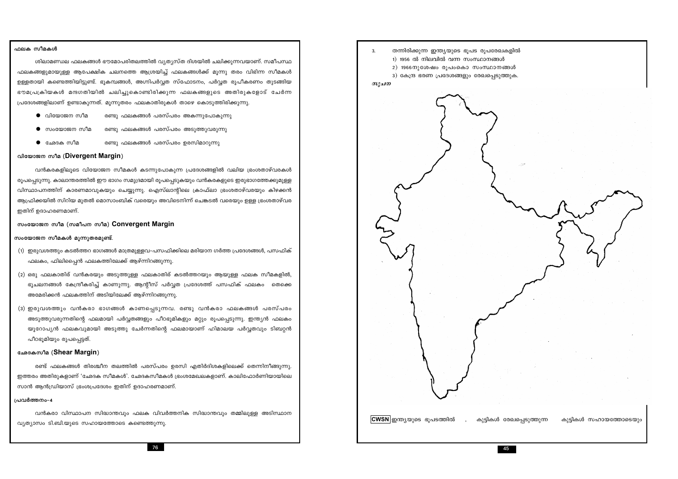### ഫലക സീമകൾ

ശിലാമണ്ഡല ഫലകങ്ങൾ ഭൗമോപരിതലത്തിൽ വ്യത്യസ്ത ദിശയിൽ ചലിക്കുന്നവയാണ്. സമീപസ്ഥ ഫലകങ്ങളുമായുള്ള ആപേക്ഷിക ചലനത്തെ ആശ്രയിച്ച് ഫലകങ്ങൾക്ക് മൂന്നു തരം വിഭിന്ന സീമകൾ ഉള്ളതായി കണ്ടെത്തിയിട്ടുണ്ട്. ഭൂകമ്പങ്ങൾ, അഗ്നിപർവ്വത സ്ഫോടനം, പർവ്വത രൂപീകരണം തുടങ്ങിയ ഭൗമപ്രക്രിയകൾ മന്ദഗതിയിൽ ചലിച്ചുകൊണ്ടിരിക്കുന്ന ഫലകങ്ങളുടെ അതിരുകളോട് ചേർന്ന പ്രദേശങ്ങളിലാണ് ഉണ്ടാകുന്നത്. മൂന്നുതരം ഫലകാതിരുകൾ താഴെ കൊടുത്തിരിക്കുന്നു.

- $\bullet$  വിയോജന സീമ രണ്ടു ഫലകങ്ങൾ പരസ്പരം അകന്നുപോകുന്നു
- $\bullet$  സംയോജന സീമ രണ്ടു ഫലകങ്ങൾ പരസ്പരം അടുത്തുവരുന്നു
- $\bullet$  ദംരദക സീമ രണ്ടു ഫലകങ്ങൾ പരസ്പരം ഉരസിമാറുന്നു

### വിയോജന സീമ (Divergent Margin)

വൻകരകളിലൂടെ വിയോജന സീമകൾ കടന്നുപോകുന്ന പ്രദേശങ്ങളിൽ വലിയ ഭ്രംശതാഴ്വരകൾ രൂപപ്പെടുന്നു. കാലാന്തരത്തിൽ ഈ ഭാഗം സമുദ്രമായി രൂപപ്പെടുകയും വൻകരകളുടെ ഇരുഭാഗത്തേക്കുമുള്ള വിസ്ഥാപനത്തിന് കാരണമാവുകയും ചെയ്യുന്നു. ഐസ്ലാന്റിലെ ക്രാഫ്ലാ ഭ്രംശതാഴ്വരയും കിഴക്കൻ ആഫ്രിക്കയിൽ സിറിയ മുതൽ മൊസാംബിക് വരെയും അവിടെനിന്ന് ചെങ്കടൽ വരെയും ഉള്ള ഭ്രംശതാഴ്വര ഇതിന് ഉദാഹരണമാണ്.

സംയോജന സീമ (സമീപന സീമ) Convergent Margin

### സംയോജന സീമകൾ മൂന്നുതരമുണ്ട്.

- (1) ഇരുവശത്തും കടൽത്തറ ഭാഗങ്ങൾ മാത്രമുള്ളവ–പസഫിക്കിലെ മരിയാന ഗർത്ത പ്രദേശങ്ങൾ, പസഫിക് ഫലകം, ഫിലിപ്പൈൻ ഫലകത്തിലേക്ക് ആഴ്ന്നിറങ്ങുന്നു.
- (2) ഒരു ഫലകാതിര് വൻകരയും അടുത്തുള്ള ഫലകാതിര് കടൽത്തറയും ആയുള്ള ഫലക സീമകളിൽ, ഭുചലനങ്ങൾ കേന്ദ്രീകരിച്ച് കാണുന്നു. ആന്റീസ് പർവ്വത പ്രദേശത്ത് പസഫിക് ഫലകം തെക്കെ അമേരിക്കൻ ഫലകത്തിന് അടിയിലേക്ക് ആഴ്ന്നിറങ്ങുന്നു.
- (3) ഇരുവശത്തും വൻകരാ ഭാഗങ്ങൾ കാണപ്പെടുന്നവ. രണ്ടു വൻകരാ ഫലകങ്ങൾ പരസ്പരം അടുത്തുവരുന്നതിന്റെ ഫലമായി പർവ്വതങ്ങളും പീഠഭൂമികളും മറ്റും രൂപപ്പെടുന്നു. ഇന്ത്യൻ ഫലകം യൂറോപ്യൻ ഫലകവുമായി അടുത്തു ചേർന്നതിന്റെ ഫലമായാണ് ഹിമാലയ പർവ്വതവും ടിബറ്റൻ പീഠഭുമിയും രുപപ്പെട്ടത്.

### ഛേദകസീമ (Shear Margin)

രണ്ട് ഫലകങ്ങൾ തിരശ്ചീന തലത്തിൽ പരസ്പരം ഉരസി എതിർദിശകളിലെക്ക് തെന്നിനീങ്ങുന്നു. ഇത്തരം അതിരുകളാണ് 'ഛേദക സീമകൾ'. ഛേദകസീമകൾ ഭ്രംശമേഖലകളാണ്. കാലിഫോർണിയായിലെ സാൻ ആൻഡ്രിയാസ് ഭ്രംശപ്രദേശം ഇതിന് ഉദാഹരണമാണ്.

### പ്രവർത്തനം-4

വൻകരാ വിസ്ഥാപന സിദ്ധാന്തവും ഫലക വിവർത്തനിക സിദ്ധാന്തവും തമ്മിലുള്ള അടിസ്ഥാന വ്യത്യാസം ടി.ബി.യുടെ സഹായത്തോടെ കണ്ടെത്തുന്നു.

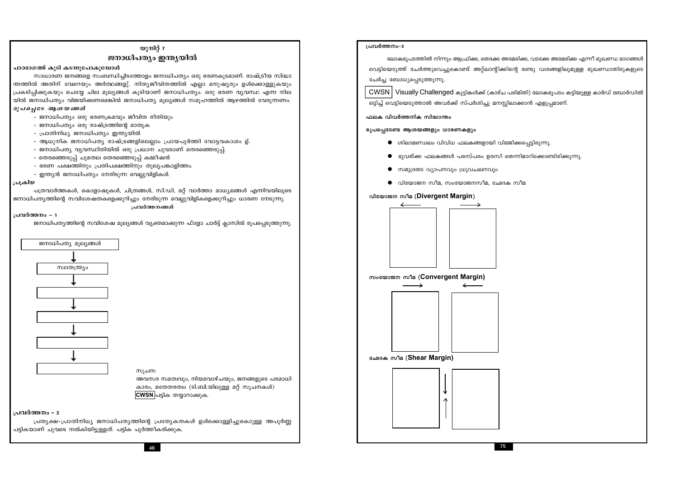പട്ടികയാണ് ചുവടെ നൽകിയിട്ടുള്ളത്. പട്ടിക പൂർത്തീകരിക്കുക.

പ്രവർത്തനം - 2 പ്രത്യക്ഷ-പ്രാതിനിധ്യ ജനാധിപത്യത്തിന്റെ പ്രത്യേകതകൾ ഉൾക്കൊള്ളിച്ചുകൊുള്ള അപൂർണ്ണ

## CWSN പട്ടിക തയ്യാറാക്കുക.

സൂചന: അവസര സമത്വവും, നിയമവാഴ്ചയും, ജനങ്ങളുടെ പരമാധി കാരം, മതേതരത്വം (ടി.ബി.യിലുള്ള മറ്റ് സൂചനകൾ)



പാഠഭാഗത്ത് കൂടി കടന്നുപോകുമ്പോൾ

രൂപപ്പെടേ ആശയങ്ങൾ

ജനാധിപതൃത്തിന്റെ സവിശേഷ മൂല്യങ്ങൾ വ്യക്തമാക്കുന്ന ഫ്ളോ ചാർട്ട് ക്ലാസിൽ രൂപപ്പെടുത്തുന്നു.

### പ്രവർത്തനം - 1

പ്രക്രിയ

പത്രവാർത്തകൾ, കൊളാഷുകൾ, ചിത്രങ്ങൾ, സി.ഡി, മറ് വാർത്താ മാധ്യമങ്ങൾ എന്നിവയിലൂടെ ജനാധിപതൃത്തിന്റെ സവിശേഷതകളെക്കുറിച്ചും നേരിടുന്ന വെല്ലുവിളികളെക്കുറിച്ചും ധാരണ നേടുന്നു. പ്രവർത്തനങ്ങൾ

യുനിറ്റ്  $7$ ജനാധിപത്യം ഇന്ത്യയിൽ

ന്തത്തിൽ അതിന് വേറെയും അർത്ഥങ്ങളു്. നിതൃജീവിതത്തിൽ എല്ലാ മനുഷ്യരും ഉൾക്കൊള്ളുകയും

പ്രകടിപ്പിക്കുകയും ചെയ്യേ ചില മുല്യങ്ങൾ കുടിയാണ് ജനാധിപത്യം. ഒരു ഭരണ വ്യവസ്ഥ എന്ന നില യിൽ ജനാധിപത്യം വിജയിക്കണമെങ്കിൽ ജനാധിപത്യ മുല്യങ്ങൾ സമൂഹത്തിൽ ആഴത്തിൽ വേരുന്നണം.

- ആധുനിക ജനാധിപത്യ രാഷ്ട്രങ്ങളിലെല്ലാം പ്രായപുർത്തി വോട്ടവകാശം ഉ്.

സാധാരണ ജനങ്ങളെ സംബന്ധിച്ചിടത്തോളം ജനാധിപത്യം ഒരു ഭരണകൂടമാണ്. രാഷ്ട്രീയ സിദ്ധാ

## - ഇന്ത്യൻ ജനാധിപത്യം നേരിടുന്ന വെല്ലുവിളികൾ.

- 
- ഭരണ പക്ഷത്തിനും പ്രതിപക്ഷത്തിനും തുല്യപങ്കാളിത്തം.

- ജനാധിപത്യം ഒരു ഭരണക്രമവും ജീവിത രീതിയും

- ജനാധിപത്യം ഒരു രാഷ്ട്രത്തിന്റെ മാതൃക

- പ്രാതിനിധ്യ ജനാധിപത്യം ഇന്ത്യയിൽ

- ജനാധിപത്യ വ്യവസ്ഥിതിയിൽ ഒരു പ്രധാന ചുവടാണ് തെരഞ്ഞെടുപ്പ്. - തെരഞ്ഞെടുപ്പ് ചുമതല തെരഞ്ഞെടുപ്പ് കമ്മീഷൻ
- 
- 
- 
- 
- 
- 
- 
- 
- 
- 
- 
- 
- 
- 
- 
- 
- 
- 
- 
- 
- 
- 
- 
- 
- 
- 
- 
- 
- 
- 
- 
- 
- 
- 
- 
- 
- 
- 
- 
- 
- 



- സമുദ്രതട വ്യാപനവും ധ്രുവചലനവും
- $\bullet$  വിയോജന സീമ, സംയോജനസീമ, ഛേദക സീമ

### വിയോജന സീമ (Divergent Margin)

രൂപപ്പെടേണ്ട ആശയങ്ങളും ധാരണകളും























ഫലക വിവർത്തനിക സിദ്ധാന്തം

ലോകഭൂപടത്തിൽ നിന്നും ആഫ്രിക്ക, തെക്കേ അമേരിക്ക, വടക്കേ അമേരിക്ക എന്നീ ഭൂഖണ്ഡ ഭാഗങ്ങൾ വെട്ടിയെടുത്ത് ചേർത്തുവെച്ചുകൊണ്ട് അറ്റ്ലാന്റിക്കിന്റെ രണ്ടു വശങ്ങളിലുമുള്ള ഭൂഖണ്ഡാതിരുകളുടെ ചേർച്ച ബോധ്യപ്പെടുത്തുന്നു.

 $CWSN$  | Visually Challenged കുട്ടികൾക്ക് (കാഴ്ച പരിമിതി) ലോകഭൂപടം കട്ടിയുള്ള കാർഡ് ബോർഡിൽ ഒട്ടിച്ച് വെട്ടിയെടുത്താൽ അവർക്ക് സ്പർശിച്ചു മനസ്സിലാക്കാൻ എളുപ്പമാണ്.

 $\bullet$  ശിലാമണ്ഡലം വിവിധ ഫലകങ്ങളായി വിഭജിക്കപ്പെട്ടിരുന്നു.

 $\bullet$  ഭൂവത്ക്ക ഫലകങ്ങൾ പരസ്പരം ഉരസി തെന്നിമാറിക്കൊണ്ടിരിക്കുന്നു.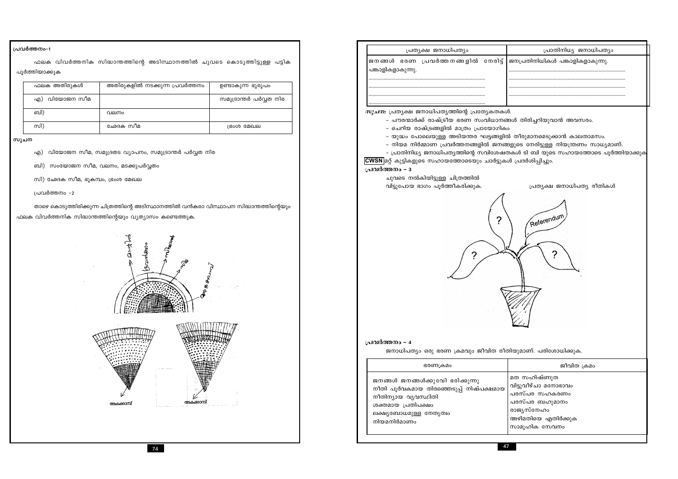### പ്രവർത്തനം-1

ഫലക വിവർത്തനിക സിദ്ധാന്തത്തിന്റെ അടിസ്ഥാനത്തിൽ ചുവടെ കൊടുത്തിട്ടുള്ള പട്ടിക പൂർത്തിയാക്കുക

| ഫലക അതിരുകൾ   | അതിരുകളിൽ നടക്കുന്ന പ്രവർത്തനം | ഉണ്ടാകുന്ന ഭൂരൂപം      |
|---------------|--------------------------------|------------------------|
| എ) വിയോജന സീമ |                                | സമുദ്രാന്തർ പർവ്വത നിര |
| ബി)           | വലനം                           |                        |
| സി)           | ഛേദക സീമ                       | ഭ്രംശ മേഖല             |

### സൂചന

- എ) വിയോജന സീമ, സമുദ്രതട വ്യാപനം, സമുദ്രാന്തർ പർവ്വത നിര
- ബി) സംയോജന സീമ, വലനം, മടക്കുപർവ്വതം
- സി) ഛേദക സീമ, ഭൂകമ്പം, ഭ്രംശ മേഖല

പ്രവർത്തനം –2

താഴെ കൊടുത്തിരിക്കുന്ന ചിത്രത്തിന്റെ അടിസ്ഥാനത്തിൽ വൻകരാ വിസ്ഥാപന സിദ്ധാന്തത്തിന്റെയും

ഫലക വിവർത്തനിക സിദ്ധാന്തത്തിന്റെയും വ്യത്യാസം കണ്ടെത്തുക.



| പ്രതൃക്ഷ ജനാധിപതൃം<br>പ്രവർത്ത നങ്ങളിൽ   നേരിട്ട്<br>ജനങ്ങൾ ഭരണ<br>പങ്കാളികളാകുന്നു.<br><i>സൂചന:</i> പ്രത്യക്ഷ ജനാധിപത്യത്തിന്റെ പ്രത്യേകതകൾ.<br>ചെറിയ രാഷ്ട്രങ്ങളിൽ മാത്രം പ്രായോഗികം<br>CWSN മറ്റ് കുട്ടികളുടെ സഹായത്തോടെയും ചാർട്ടുകൾ ശ്ര<br>പ്രവർത്തനം - 3<br>ചുവടെ നൽകിയിട്ടുള്ള ചിത്രത്തിൽ<br>വിട്ടുപോയ ഭാഗം പൂർത്തീകരിക്കുക. | - പൗരന്മാർക്ക് രാഷ്ട്രീയ ഭരണ സംവിധാനങ്ങൾ<br>- യുദ്ധം പോലെയുള്ള അടിയന്തര ഘട്ടങ്ങളിൽ ത<br>്നിയമ നിർമ്മാണ പ്രവർത്തനങ്ങളിൽ ജനങ്ങളും<br>- പ്രാതിനിധ്യ ജനാധിപത്യത്തിന്റെ സവിശേഷതക $\epsilon$<br>പ്രവർത്തനം - 4<br>ജനാധിപത്യം ഒരു ഭരണ ക്രമവും ജീവിത രീതിയ | ഭരണക്രമം<br>ജനങ്ങൾ ജനങ്ങൾക്കുവേി ഭരിക്കുന്നു<br>നീതി പൂർവകമായ തിരഞ്ഞെടുപ്പ് നിഷ്പക്ഷമായ<br>നീതിന്യായ വ്യവസ്ഥിതി<br>ശക്തമായ പ്രതിപക്ഷം<br>ലക്ഷ്യബോധമുള്ള നേതൃത്വം<br>നിയമനിർമാണം |     |
|-------------------------------------------------------------------------------------------------------------------------------------------------------------------------------------------------------------------------------------------------------------------------------------------------------------------------------------|----------------------------------------------------------------------------------------------------------------------------------------------------------------------------------------------------------------------------------------------------|---------------------------------------------------------------------------------------------------------------------------------------------------------------------------------|-----|
|                                                                                                                                                                                                                                                                                                                                     |                                                                                                                                                                                                                                                    |                                                                                                                                                                                 |     |
|                                                                                                                                                                                                                                                                                                                                     |                                                                                                                                                                                                                                                    |                                                                                                                                                                                 | ജന  |
|                                                                                                                                                                                                                                                                                                                                     |                                                                                                                                                                                                                                                    |                                                                                                                                                                                 |     |
|                                                                                                                                                                                                                                                                                                                                     |                                                                                                                                                                                                                                                    |                                                                                                                                                                                 |     |
|                                                                                                                                                                                                                                                                                                                                     |                                                                                                                                                                                                                                                    |                                                                                                                                                                                 |     |
|                                                                                                                                                                                                                                                                                                                                     |                                                                                                                                                                                                                                                    |                                                                                                                                                                                 |     |
|                                                                                                                                                                                                                                                                                                                                     |                                                                                                                                                                                                                                                    |                                                                                                                                                                                 |     |
|                                                                                                                                                                                                                                                                                                                                     |                                                                                                                                                                                                                                                    |                                                                                                                                                                                 |     |
|                                                                                                                                                                                                                                                                                                                                     |                                                                                                                                                                                                                                                    |                                                                                                                                                                                 |     |
|                                                                                                                                                                                                                                                                                                                                     |                                                                                                                                                                                                                                                    |                                                                                                                                                                                 | വി: |
|                                                                                                                                                                                                                                                                                                                                     | മര                                                                                                                                                                                                                                                 |                                                                                                                                                                                 | പര  |
|                                                                                                                                                                                                                                                                                                                                     |                                                                                                                                                                                                                                                    |                                                                                                                                                                                 | പര  |
|                                                                                                                                                                                                                                                                                                                                     |                                                                                                                                                                                                                                                    |                                                                                                                                                                                 | രാ  |
|                                                                                                                                                                                                                                                                                                                                     |                                                                                                                                                                                                                                                    |                                                                                                                                                                                 | അ   |
|                                                                                                                                                                                                                                                                                                                                     |                                                                                                                                                                                                                                                    |                                                                                                                                                                                 | സഃ  |

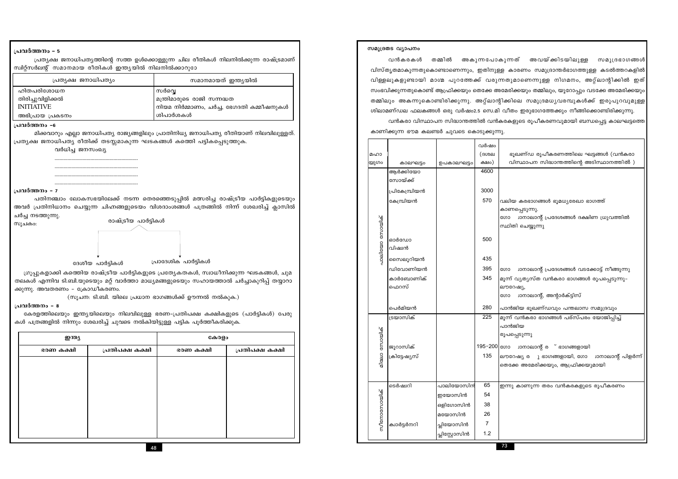48

| ഇന്ത്യ    |                 | കേരളം     |                 |
|-----------|-----------------|-----------|-----------------|
| ഭരണ കക്ഷി | പ്രതിപക്ഷ കക്ഷി | ഭരണ കക്ഷി | പ്രതിപക്ഷ കക്ഷി |
|           |                 |           |                 |
|           |                 |           |                 |
|           |                 |           |                 |
|           |                 |           |                 |
|           |                 |           |                 |
|           |                 |           |                 |
|           |                 |           |                 |

കേരളത്തിലെയും ഇന്ത്യയിലെയും നിലവിലുള്ള ഭരണ-പ്രതിപക്ഷ കക്ഷികളുടെ (പാർട്ടികൾ) പേരു കൾ പത്രങ്ങളിൽ നിന്നും ശേഖരിച്ച് ചുവടെ നൽകിയിട്ടുള്ള പട്ടിക പൂർത്തീകരിക്കുക.

തലകൾ എന്നിവ ടി.ബി.യുടെയും മറ്റ് വാർത്താ മാധ്യമങ്ങളുടെയും സഹായത്താൽ ചർച്ചാകുറിപ്പ് തയ്യാറാ ക്കുന്നു. അവതരണം - ക്രോഡീകരണം. (സുചന: ടി.ബി. യിലെ പ്രധാന ഭാഗങ്ങൾക്ക് ഊന്നൽ നൽകുക.)

ഗ്രൂപ്പുകളാക്കി കത്തിെയ രാഷ്ട്രീയ പാർട്ടികളുടെ പ്രത്യേകതകൾ, സ്വാധീനിക്കുന്ന ഘടകങ്ങൾ, ചുമ

പ്രാദേശിക പാർട്ടികൾ ദേശീയ പാർട്ടികൾ

പ്രവർത്തനം - 7 പതിനഞ്ചാം ലോകസഭയിലേക്ക് നടന്ന തെരഞ്ഞെടുപ്പിൽ മത്സരിച്ച രാഷ്ട്രീയ പാർട്ടികളുടെയും അവർ പ്രതിനിധാനം ചെയ്യുന്ന ചിഹ്നങ്ങളുടെയം വിശദാംശങ്ങൾ പത്രങ്ങിൽ നിന്ന് ശേഖരിച്ച് ക്ലാസിൽ ചർച്ച നടത്തുന്നു.

രാഷ്ട്രീയ പാർട്ടികൾ

പ്രവർത്തനം - 8

സൂചകം:

വർധിച്ച ജനസംഖ്യ

പ്രവർത്തനം - 5

പ്രവർത്തനം -6 മിക്കവാറും എല്ലാ ജനാധിപത്യ രാജ്യങ്ങളിലും പ്രാതിനിധ്യ ജനാധിപത്യ രീതിയാണ് നിലവിലുള്ളത്. പ്രത്യക്ഷ ജനാധിപത്യ രീതിക്ക് തടസ്സമാകുന്ന ഘടകങ്ങൾ കത്തിെ പട്ടികപ്പെടുത്തുക.

| പ്രത്യക്ഷ ജനാധിപത്യം | സമാനമായത് ഇന്ത്യയിൽ                      |
|----------------------|------------------------------------------|
| ഹിതപരിശോധന           | സർവ്വെ                                   |
| തിരിച്ചുവിളിക്കൽ     | മന്ത്രിമാരുടെ രാജി സന്നദ്ധത              |
| <b>INITIATIVE</b>    | നിയമ നിർമ്മാണം, ചർച്ച, ഭേഗദതി കമ്മീഷനുകൾ |
| അഭിപ്രായ പ്രകടനം     | ശിപാർശകൾ                                 |
|                      |                                          |

പ്രത്യക്ഷ ജനാധിപത്യത്തിന്റെ സത്ത ഉൾക്കൊള്ളുന്ന ചില രീതികൾ നിലനിൽക്കുന്ന രാഷ്ട്രമാണ് സ്ഥിറ്റ്സർലന്റ് സമാനമായ രീതികൾ ഇന്ത്യയിൽ നിലനിൽക്കാറുാേ

|               | ശിലാമണ്ഡല ഫലകങ്ങൾ ഒരു വർഷം2.5 സെ.മി വീ                                            |               |              |      |
|---------------|-----------------------------------------------------------------------------------|---------------|--------------|------|
|               | വൻകരാ വിസ്ഥാപന സിദ്ധാന്തത്തിൽ വൻകരക<br>കാണിക്കുന്ന ഭൗമ കലണ്ടർ ചുവടെ കൊടുക്കുന്നു. |               |              |      |
| മഹാ           |                                                                                   |               | വർഷം<br>(ദശല |      |
| യുഗം          | കാലഘട്ടം                                                                          | ഉപകാലഘട്ടം    | ക്ഷം)        |      |
|               | ആർക്കിയോ                                                                          |               | 4600         |      |
|               | സോയ്ക്ക്                                                                          |               |              |      |
|               | പ്രികേമ്പ്രിയൻ                                                                    |               | 3000         |      |
|               | കേമ്പ്രിയൻ                                                                        |               | 570          | വലി  |
|               |                                                                                   |               |              | കാ6  |
|               |                                                                                   |               |              | ഗോ   |
|               |                                                                                   |               |              | സ്ഥ  |
|               | ഓർഡോ                                                                              |               | 500          |      |
|               | വിഷ്വൻ                                                                            |               |              |      |
| പാലിയോ സോയിക് |                                                                                   |               | 435          |      |
|               | സൈലൂറിയൻ                                                                          |               | 395          |      |
|               | ഡിവോണിയൻ                                                                          |               |              | ഗോ   |
|               | കാർബോണിക്                                                                         |               | 345          | മൂന  |
|               | ഫെറസ്                                                                             |               |              | ലൗ   |
|               |                                                                                   |               |              | ഗോ   |
|               | പെർമിയൻ                                                                           |               | 280          | പാറ  |
|               | ട്രയാസിക്                                                                         |               | 225          | മൂന  |
|               |                                                                                   |               |              | പാറ  |
|               |                                                                                   |               |              | രൂപ  |
| ലാ സോയിക്     | ജൂറാസിക്                                                                          |               | 195-200      | ഗോ   |
|               | ക്രിട്ടേഷ്യസ്                                                                     |               | 135          | ലൗ   |
| ସ୍ୱ           |                                                                                   |               |              | തെ   |
|               |                                                                                   |               |              |      |
|               | ടെർഷ്വറി                                                                          | പാലിയോസിൻ     | 65           | ഇന്ന |
|               |                                                                                   | ഇയോസിൻ        | 54           |      |
|               |                                                                                   | ഒളിഗോസിൻ      | 38           |      |
|               |                                                                                   | മയോസിൻ        | 26           |      |
| സീനോസോയിക്    | ക്വാർട്ടർനറി                                                                      | പ്ലിയോസിൻ     | 7            |      |
|               |                                                                                   | പ്ലിസ്റ്റോസിൻ | 1.2          |      |

സമുദ്രതട വ്യാപനം

73

വൻകരകൾ തമ്മിൽ അകുന്നപോകുന്നത് അവയ്ക്കിടയിലുള്ള സമുദ്രഭാഗങ്ങൾ വിസ്തൃതമാകുന്നതുകൊണ്ടാണെന്നും, ഇതിനുള്ള കാരണം സമുദ്രാന്തർഭാഗത്തുള്ള കടൽത്തറകളിൽ വിള്ളലുകളുണ്ടായി മാഗ്മ പുറത്തേക്ക് വരുന്നതുമാണെന്നുള്ള നിഗമനം, അറ്റ്ലാന്റിക്കിൽ ഇത് സംഭവിക്കുന്നതുകൊണ്ട് ആഫ്രിക്കയും തെക്കേ അമേരിക്കയും തമ്മിലും, യൂറോപ്പും വടക്കേ അമേരിക്കയും തമ്മിലും അകന്നുകൊണ്ടിരിക്കുന്നു. അറ്റ്ലാന്റിക്കിലെ സമുദ്രമധൃവരമ്പുകൾക്ക് ഇരുപുറവുമുള്ള lതം ഇരുഭാഗത്തേക്കും നീങ്ങിക്കൊണ്ടിരിക്കുന്നു.

കളുടെ രൂപീകരണവുമായി ബന്ധപ്പെട്ട കാലഘട്ടത്ത<mark>െ</mark>

ഭുഖണ്ഡ രുപീകരണത്തിലെ ഘട്ടങ്ങൾ (വൻകരാ വിസ്ഥാപന സിദ്ധാന്തത്തിന്റെ അടിസ്ഥാനത്തിൽ <mark>)</mark>

ിയ കരഭാഗങ്ങൾ ഭൂമധ്യരേഖാ ഭാഗത്ത് ണപ്പെടുന്നു. ്രാനാലാന്റ് പ്രദേശങ്ങൾ ദക്ഷിണ ധ്രുവത്തിൽ ിതി ചെയ്യുന്നു

്രാനാലാന്റ് പ്രദേശങ്ങൾ വടക്കോട്ട് നീങ്ങുന്നു ന് വ്യത്യസ്ത വൻകരാ ഭാഗങ്ങൾ രൂപപ്പെടുന്നു– റേഷ്യ,

്വാനാലാന്റ്, അന്റാർക്ട്ടിസ്

ർജിയ ഭൂഖണ്ഡവു<mark>ം</mark> പന്തലാസ സമുദ്രവും

.<br>ന് വൻകരാ ഭാഗങ്ങൾ പര്സ്പരം യോജിപ്പിച്ച് ർജിയ പ്പെടുന്നു ് ഭാഗങ്ങളായി

റേഷ്യ ര ു ഭാഗങ്ങളായി, ഗോ <mark>ചാനാലാന്റ് പിളർന്ന്</mark> ക്കേ അമേരിക്കയും, ആഫ്രിക്കയുമായ<mark>ി</mark>

nൂ കാണുന്ന തരം വൻകരകളുടെ രൂപീകരണ<mark>ം</mark>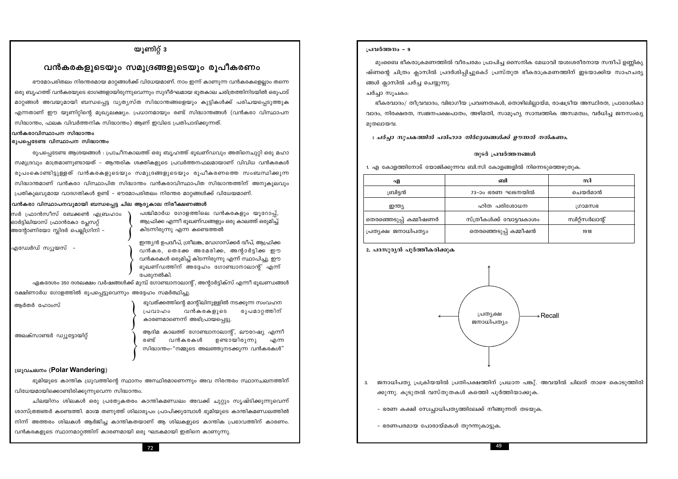### യൂണിറ്റ് 3

### വൻകരകളുടെയും സമുദ്രങ്ങളുടെയും രൂപീകരണം

ഭൗമോപരിതലം നിരന്തരമായ മാറ്റങ്ങൾക്ക് വിധേയമാണ്. നാം ഇന്ന് കാണുന്ന വൻകരകളെല്ലാം തന്നെ ഒരു ബൃഹത്ത് വൻകരയുടെ ഭാഗങ്ങളായിരുന്നുവെന്നും സുദീർഘമായ ഭുതകാല ചരിത്രത്തിനിടയിൽ ഒരുപാട് മാറ്റങ്ങൾ അവയുമായി ബന്ധപ്പെട്ട വ്യത്യസ്ത സിദ്ധാന്തങ്ങളെയും കുട്ടികൾക്ക് പരിചയപ്പെടുത്തുക എന്നതാണ് ഈ യൂണിറ്റിന്റെ മുഖ്യലക്ഷ്യം. പ്രധാനമായും രണ്ട് സിദ്ധാന്തങ്ങൾ (വൻകരാ വിസ്ഥാപന സിദ്ധാന്തം, ഫലക വിവർത്തനിക സിദ്ധാന്തം) ആണ് ഇവിടെ പ്രതിപാദിക്കുന്നത്.

### വൻകരാവിസ്ഥാപന സിദ്ധാന്തം

### രുപപ്പെടേണ്ട വിസ്ഥാപന സിദ്ധാന്തം

രുപപെടേണ്ട ആശയങ്ങൾ : പ്രാചീനകാലത്ത് ഒരു ബൃഹത്ത് ഭുഖണ്ഡവും അതിനെചുറ്റി ഒരു മഹാ സമുദ്രവും മാത്രമാണുണ്ടായത് – ആന്തരിക ശക്തികളുടെ പ്രവർത്തനഫലമായാണ് വിവിധ വൻകരകൾ രൂപംകൊണ്ടിട്ടുള്ളത് വൻകരകളുടെയും സമുദ്രങ്ങളുടെയും രൂപീകരണത്തെ സംബന്ധിക്കുന്ന സിദ്ധാന്തമാണ് വൻകരാ വിസ്ഥാപിത സിദ്ധാന്തം വൻകരാവിസ്ഥാപിത സിദ്ധാന്തത്തിന് അനുകൂലവും പ്രതികൂലവുമായ വാദഗതികൾ ഉണ്ട് – ഭൗമോപരിതലം നിരന്തര മാറങ്ങൾക്ക് വിധേയമാണ്.

### വൻകരാ വിസ്ഥാപനവുമായി ബന്ധപ്പെട്ട ചില ആദ്യകാല നിരീക്ഷണങ്ങൾ

| സർ ഫ്രാൻസീസ് ബേക്കൺ എബ്രഹാം     |  |
|---------------------------------|--|
| ഓർട്ടിലിയാസ് ഫ്രാൻകോ പ്ലേസറ്റ്  |  |
| അന്റോണിയോ സ്ലിദർ പെല്ലിഗ്രിനി – |  |

പശ്ചിമാർധ ഗോളത്തിലെ വൻകരകളും യൂറോപ്പ്, ആഫ്രിക്ക എന്നീ ഭൂഖണ്ഡങ്ങളും ഒരു കാലത്ത് ഒരുമിച്ച് കിടന്നിരുന്നു എന്ന കണ്ടെത്തൽ

എഡ്വേർഡ് സ്യൂയസ്

ഇന്ത്യൻ ഉപദ്വീപ്, ശ്രീലങ്ക, മഡഗാസ്ക്കർ ദ്വീപ്, ആഫ്രിക്ക വൻകര, തെക്കേ അമേരിക്ക, അന്റാർട്ടിക്ക ഈ വൻകരകൾ ഒരുമിച്ച് കിടന്നിരുന്നു എന്ന് സ്ഥാപിച്ചു. ഈ ഭൂഖണ്ഡത്തിന് അദ്ദേഹം ഗോണ്ട്വാനാലാന്റ് എന്ന് പേരുനൽകി.

ഏകദേശം 350 ദശലക്ഷം വർഷങ്ങൾക്ക് മുമ്പ് ഗോണ്ട്വാനാലാന്റ്, അന്റാർട്ടിക്സ് എന്നീ ഭൂഖണ്ഡങ്ങൾ ദക്ഷിണാർധ ഗോളത്തിൽ രൂപപ്പെട്ടുവെന്നും അദ്ദേഹം സമർത്ഥിച്ചു.

ആർതർ ഹോംസ്

അലക്സാണ്ടർ ഡ്യൂട്ടോയിറ്റ്

ഭൂവത്ക്കത്തിന്റെ മാന്റിലിനുള്ളിൽ നടക്കുന്ന സംവഹന വൻകരകളുടെ രൂപമാറ്റത്തിന് പ്രവാഹം കാരണമാണെന്ന് അഭിപ്രായപ്പെട്ടു.

ആദിമ കാലത്ത് ഗോണ്ട്വാനാലാന്റ്, ലൗറേഷ്യ എന്നീ രണ്ട് വൻകരകൾ ഉണ്ടായിരുന്നു ൶൬ സിദ്ധാന്തം-"നമ്മുടെ അലഞ്ഞുനടക്കുന്ന വൻകരകൾ"

### ധ്രുവചലനം (Polar Wandering)

ഭൂമിയുടെ കാന്തിക ധ്രുവത്തിന്റെ സ്ഥാനം അസ്ഥിരമാണെന്നും അവ നിരന്തരം സ്ഥാനചലനത്തിന് വിധേയമായിക്കൊണ്ടിരിക്കുന്നുവെന്ന സിദ്ധാന്തം.

ചിലയിനം ശിലകൾ ഒരു പ്രത്യേകതരം കാന്തികമണ്ഡലം അവക്ക് ചുറ്റും സൃഷ്ടിക്കുന്നുവെന്ന് ശാസ്ത്രജ്ഞർ കണ്ടെത്തി. മാഗ്മ തണുത്ത് ശിലാരൂപം പ്രാപിക്കുമ്പോൾ ഭൂമിയുടെ കാന്തികമണ്ഡലത്തിൽ നിന്ന് അത്തരം ശിലകൾ ആർജിച്ച കാന്തികതയാണ് ആ ശിലകളുടെ കാന്തിക പ്രഭാവത്തിന് കാരണം. വൻകരകളുടെ സ്ഥാനമാറ്റത്തിന് കാരണമായി ഒരു ഘടകമായി ഇതിനെ കാണുന്നു.

### പ്രവർത്തനം - 9

മുംബൈ ഭീകരാക്രമണത്തിൽ വീരചരമം പ്രാപിച്ച സൈനിക മേധാവി യശഃശരീരനായ സന്ദീപ് ഉണ്ണികൃ ഷ്ണന്റെ ചിത്രം ക്ലാസിൽ പ്രദർശിപ്പിച്ചുകൊ് പ്രസ്തുത ഭീകരാക്രമണത്തിന് ഇടയാക്കിയ സാഹചര്യ ങ്ങൾ ക്ലാസിൽ ചർച്ച ചെയ്യുന്നു.

### ചർച്ചാ സൂചകം:

ഭീകരവാദം/ തീവ്രവാദം, വിഭാഗീയ പ്രവണതകൾ, തൊഴിലില്ലായ്മ, രാഷട്രീയ അസ്ഥിരത, പ്രാദേശികാ വാദം, നിരക്ഷരത, സ്വജനപക്ഷപാതം, അഴിമതി, സാമൂഹ്യ സാമ്പത്തിക അസമത്വം, വർധിച്ച ജനസംഖ്യ മുതലായവ.

; ചർച്ചാ സുചകത്തിൽ പരിഹാര നിർദ്ദേശങ്ങൾക്ക് ഊന്നൽ നൽകണം.

### തുടർ പ്രവർത്തനങ്ങൾ

1. എ കോളത്തിനോട് യോജിക്കുന്നവ ബി.സി കോളങ്ങളിൽ നിന്നെടുത്തെഴുതുക.

| എ                      | வி                      | സി               |
|------------------------|-------------------------|------------------|
| ബ്രിട്ടൻ               | 73-ാം ഭരണ ഘടനയിൽ        | ചെയർമാൻ          |
| ഇന്ത്യ                 | ഹിത പരിശോധന             | ഗ്രാമസഭ          |
| തെരഞ്ഞെടുപ്പ് കമ്മീഷണർ | സ്ത്രീകൾക്ക് വോട്ടവകാശം | സ്വിറ്റ്സർലാന്റ് |
| പ്രത്യക്ഷ ജനാധിപത്യം   | തെരഞ്ഞെടുപ്പ് കമ്മീഷൻ   | 1918             |

### <u>2. പദസുരൃൻ പൂർത്തീകരിക്കുക</u>



ജനാധിപത്യ പ്രക്രിയയിൽ പ്രതിപക്ഷത്തിന് പ്രധാന പങ്കു്. അവയിൽ ചിലത് താഴെ കൊടുത്തിരി  $3.$ ക്കുന്നു. കൂടുതൽ വസ്തുതകൾ കത്തിെ പൂർത്തിയാക്കുക.

- ഭരണ കക്ഷി സ്വേച്ചാധിപത്യത്തിലേക്ക് നീങ്ങുന്നത് തടയുക.

- ഭരണപരമായ പോരായ്മകൾ തുറന്നുകാട്ടുക.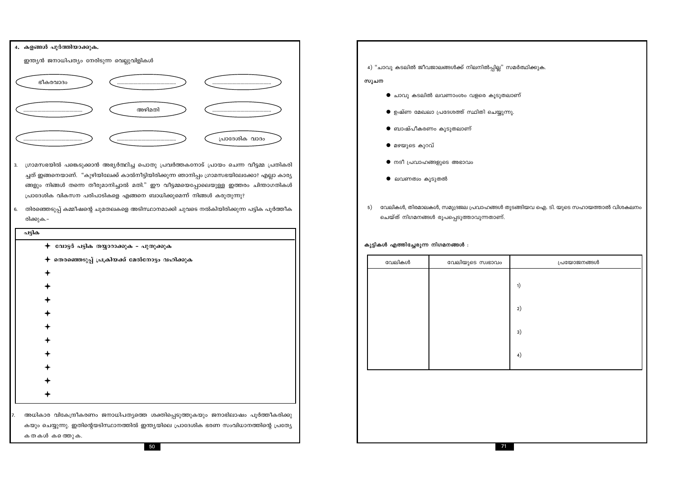| 4. കളങ്ങൾ പൂർത്തിയാക്കുക.                 |        |                |  |  |  |  |
|-------------------------------------------|--------|----------------|--|--|--|--|
| ഇന്ത്യൻ ജനാധിപത്യം നേരിടുന്ന വെല്ലുവിളികൾ |        |                |  |  |  |  |
| ഭീകരവാദം                                  |        |                |  |  |  |  |
|                                           | അഴിമതി |                |  |  |  |  |
|                                           |        | പ്രാദേശിക വാദം |  |  |  |  |

- 3. ഗ്രാമസഭയിൽ പങ്കെടുക്കാൻ അഭ്യർത്ഥിച്ച പൊതു പ്രവർത്തകനോട് പ്രായം ചെന്ന വീട്ടമ്മ പ്രതികരി ച്ചത് ഇങ്ങനെയാണ്. "കുഴിയിലേക്ക് കാൽനീട്ടിയിരിക്കുന്ന ഞാനിപ്പം ഗ്രാമസഭയിലേക്കോ? എല്ലാ കാര്യ ങ്ങളും നിങ്ങൾ തന്നെ തീരുമാനിച്ചാൽ മതി." ഈ വീട്ടമ്മയെപ്പോലെയുള്ള ഇത്തരം ചിന്താഗതികൾ പ്രാദേശിക വികസന പരിപാടികളെ എങ്ങനെ ബാധിക്കുമെന്ന് നിങ്ങൾ കരുതുന്നു?
- 6. തിരഞ്ഞെടുപ്പ് കമ്മീഷന്റെ ചുമതലകളെ അടിസ്ഥാനമാക്കി ചുവടെ നൽകിയിരിക്കുന്ന പട്ടിക പൂർത്തീക രിക്കുക.–

| പട്ടിക                                                                                 |
|----------------------------------------------------------------------------------------|
| $\bm{+}\,$ വോട്ടർ പട്ടിക തയ്യാറാക്കുക - പുതുക്കുക                                      |
| തെരഞ്ഞെടുപ്പ് പ്രക്രിയക്ക് മേൽനോട്ടം വഹിക്കുക                                          |
|                                                                                        |
|                                                                                        |
|                                                                                        |
|                                                                                        |
|                                                                                        |
|                                                                                        |
|                                                                                        |
|                                                                                        |
|                                                                                        |
|                                                                                        |
| അധികാര വികേന്ദ്രീകരണം ജനാധിപത്യത്തെ ശക്തിപ്പെടുത്തുകയും ജനാഭിലാഷം പൂർത്തീകരിക്കു       |
|                                                                                        |
| കയും ചെയ്യുന്നു. ഇതിന്റെയടിസ്ഥാനത്തിൽ ഇന്ത്യയിലെ പ്രാദേശിക ഭരണ സംവിധാനത്തിന്റെ പ്രത്യേ |
| കതകൾ കത്തെുക.                                                                          |

4) "ചാവു കടലിൽ ജീവജാലങ്ങൾക്ക് നിലനിൽപ്പില്ല" സമർത്ഥിക്കുക. സൂചന

- $\bullet$  ചാവു കടലിൽ ലവണാംശം വളരെ കൂടുതലാണ്
- $\bullet$  ഉഷ്ണ മേഖലാ പ്രദേശത്ത് സ്ഥിതി ചെയ്യുന്നു.
- ബാഷ്പീകരണം കൂടുതലാണ്
- മഴയുടെ കുറവ്
- $\bullet$  നദീ പ്രവാഹങ്ങളുടെ അഭാവം
- $\bullet$  ലവണത്വം കൂടുതൽ
- വേലികൾ, തിരമാലകൾ, സമുദ്രജല പ്രവാഹങ്ങൾ തുടങ്ങിയവ ഐ. ടി. യുടെ സഹായത്താൽ വിശകലനം  $5)$ ചെയ്ത് നിഗമനങ്ങൾ രൂപപ്പെടുത്താവുന്നതാണ്.

കുട്ടികൾ എത്തിച്ചേരുന്ന നിഗമനങ്ങൾ :

| വേലികൾ | വേലിയുടെ സ്വഭാവം | പ്രയോജനങ്ങൾ |
|--------|------------------|-------------|
|        |                  | 1)          |
|        |                  | 2)          |
|        |                  | 3)          |
|        |                  | 4)          |
|        |                  |             |
|        |                  |             |
|        |                  |             |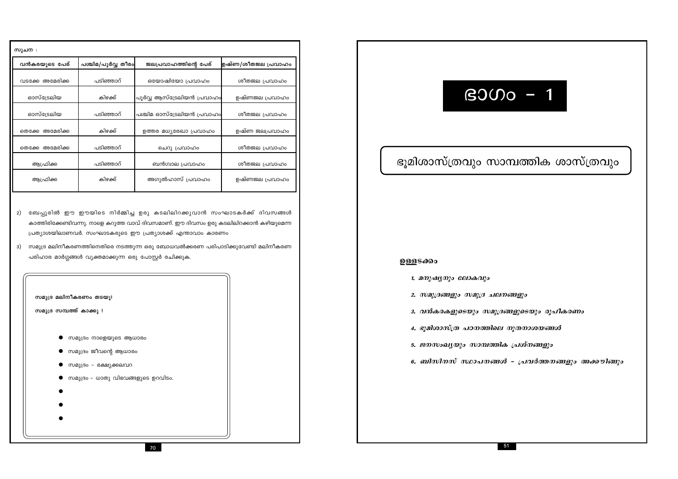| സുചന :             |                    |                            |                    |
|--------------------|--------------------|----------------------------|--------------------|
| വൻകരയുടെ പേര്      | പശ്ചിമ/പൂർവ്വ തീരം | ജലപ്രവാഹത്തിന്റെ പേര്      | ഉഷ്ണ/ശീതജല പ്രവാഹം |
| വടക്കേ അമേരിക്ക    | പടിഞ്ഞാറ്          | ഒയോഷിയോ പ്രവാഹം            | ശീതജല പ്രവാഹം      |
| ഓസ്ട്രേലിയ         | കിഴക്ക്            | പൂർവ്വ ആസ്ട്രേലിയൻ പ്രവാഹം | ഉഷ്ണജല പ്രവാഹം     |
| ഓസ്ട്രേലിയ         | പടിഞ്ഞാറ്          | പശ്ചിമ ഓസ്ട്രേലിയൻ പ്രവാഹം | ശീതജല പ്രവാഹം      |
| അമേരിക്ക<br>തെക്കേ | കിഴക്ക്            | ഉത്തര മധ്യരേഖാ പ്രവാഹം     | ഉഷ്ണ ജലപ്രവാഹം     |
| അമേരിക്ക<br>തെക്കേ | പടിഞ്ഞാറ്          | ചെറു പ്രവാഹം               | ശീതജല പ്രവാഹം      |
| ആഫ്രിക്ക           | പടിഞ്ഞാറ്          | ബൻഗ്വാല പ്രവാഹം            | ശീതജല പ്രവാഹം      |
| ആഫ്രിക്ക           | കിഴക്ക്            | അഗുൽഹാസ് പ്രവാഹം           | ഉഷ്ണജല പ്രവാഹം     |

- 2) ബേപ്പൂരിൽ ഈ ഈയിടെ നിർമ്മിച്ച ഉരു കടലിലിറക്കുവാൻ സംഘാടകർക്ക് ദിവസങ്ങൾ കാത്തിരിക്കേണ്ടിവന്നു. നാളെ കറുത്ത വാവ് ദിവസമാണ്. ഈ ദിവസം ഉരു കടലിലിറക്കാൻ കഴിയുമെന്ന പ്രത്യാശയിലാണവർ. സംഘാടകരുടെ ഈ പ്രത്യാശക്ക് എന്താവാം കാരണം
- 3) സമുദ്ര മലിനീകരണത്തിനെതിരെ നടത്തുന്ന ഒരു ബോധവൽക്കരണ പരിപാടിക്കുവേണ്ടി മലിനീകരണ പരിഹാര മാർഗ്ഗങ്ങൾ വ്യക്തമാക്കുന്ന ഒരു പോസ്റ്റർ രചിക്കുക.



# $B000 - 1$

# ഭൂമിശാസ്ത്രവും സാമ്പത്തിക ശാസ്ത്രവും

### ഉള്ളടക്കം

- 1. മനുഷ്യനും ലോകവും
- 2. സമുദ്രങ്ങളും സമൂദ്ര ചലനങ്ങളും
- 3. വൻകരകളുടെയും സമുദ്രങ്ങളുടെയും രൂപീകരണം
- 4. ഭൂമിശാസ്ത്ര പഠനത്തിലെ നൂതനാശയങ്ങൾ
- 5. ജനസംഖ്യയും സാമ്പത്തിക പ്രശ്നങ്ങളും
- 

6. ബിസിനസ് സ്ഥാപനങ്ങൾ - പ്രവർത്തനങ്ങളും അക്കൗിങ്ങും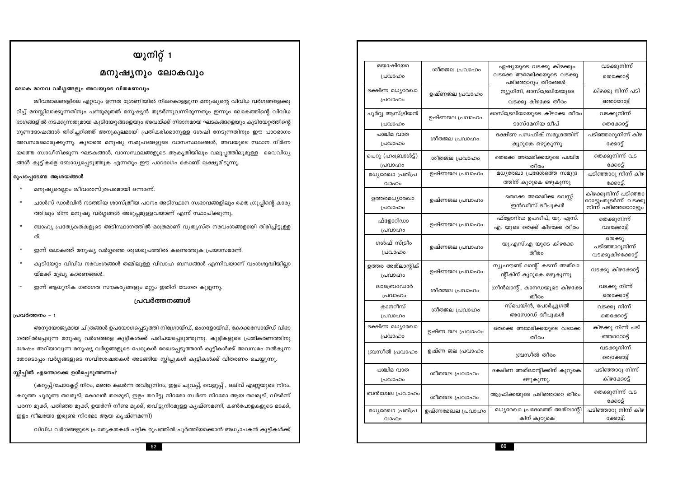വിവിധ വർഗങ്ങളുടെ പ്രത്യേകതകൾ പട്ടിക രൂപത്തിൽ പൂർത്തിയാക്കാൻ അധ്യാപകൻ കുട്ടികൾക്ക്

(കറുപ്പ്/ചോക്ലേറ്റ് നിറം, മഞ്ഞ കലർന്ന തവിട്ടുനിറം, ഇളം ചുവപ്പ്, വെളുപ്പ് , ഒലിവ് എണ്ണയുടെ നിറം,

ലോക മാനവ വർഗ്ഗങ്ങളും അവയുടെ വിതരണവും

മനുഷ്യരെല്ലാം ജീവശാസ്ത്രപരമായി ഒന്നാണ്.

രൂപപ്പെടേണ്ട ആശയങ്ങൾ

 $\pmb{\ast}$ 

ത്.

പ്രവർത്തനം - 1

യ്മക്ക് മുഖ്യ കാരണങ്ങൾ.

സ്ലിപ്പിൽ എന്തൊക്കെ ഉൾപ്പെടുത്തണം?

|  |  | ഇളം നീലയോ ഇരുണ്ട നിറമോ ആയ കൃഷ്ണമണി) |  |
|--|--|-------------------------------------|--|

കറുത്ത ചുരുണ്ട തലമുടി, കോലൻ തലമുടി, ഇളം തവിട്ടു നിറമോ സ്വർണ നിറമോ ആയ തലമുടി, വിടർന്ന്

|  |  | ഇളം നീലയോ ഇരുണ്ട നിറമോ ആയ കൃഷ്ണമണി) |  |
|--|--|-------------------------------------|--|

| $\mathbb{R}^n$ , $\mathbb{Z}^n$ , $\mathbb{Z}^n$ , $\mathbb{Z}^n$ , $\mathbb{Z}^n$ , $\mathbb{Z}^n$ , $\mathbb{Z}^n$ , $\mathbb{Z}^n$ , $\mathbb{Z}^n$ , $\mathbb{Z}^n$ , $\mathbb{Z}^n$ , $\mathbb{Z}^n$ , $\mathbb{Z}^n$ , $\mathbb{Z}^n$ , $\mathbb{Z}^n$ , $\mathbb{Z}^n$ , $\mathbb{Z}^n$ , |  |  |  |  |  |
|--------------------------------------------------------------------------------------------------------------------------------------------------------------------------------------------------------------------------------------------------------------------------------------------------|--|--|--|--|--|
| പരീലഭസാ ബരുണ്ട നിറമോ അസ ക്രക്ണമണി).                                                                                                                                                                                                                                                              |  |  |  |  |  |

|  |  |                                     |  | പരന്ന മൂക്ക്, പതിഞ്ഞ മൂക്ക്, ഉയർന്ന് നീണ്ട മൂക്ക്, തവിട്ടുനിറമുള്ള കൃഷ്ണമണി, കൺപോളകളുടെ മടക്ക്, |  |
|--|--|-------------------------------------|--|-------------------------------------------------------------------------------------------------|--|
|  |  | ഇളം നീലയോ ഇരുണ്ട നിറമോ ആയ കൃഷ്ണമണി) |  |                                                                                                 |  |

| ഒയാഷിയോ<br>പ്രവാഹം           | ശീതജല പ്രവാഹം    | ഏഷ്യയുടെ വടക്കു കിഴക്കും<br>വടക്കേ അമേരിക്കയുടെ വടക്കു<br>പടിഞ്ഞാറും തീരങ്ങൾ | വടക്കുനിന്ന്<br>തെക്കോട്ട്                                               |
|------------------------------|------------------|------------------------------------------------------------------------------|--------------------------------------------------------------------------|
| ദക്ഷിണ മധ്യരേഖാ              | ഉഷ്ണജല പ്രവാഹം   | ന്യൂഗിനി, ഓസ്ട്രേലിയയുടെ                                                     | കിഴക്കു നിന്ന് പടി                                                       |
| പ്രവാഹം                      |                  | വടക്കു കിഴക്കേ തീരം                                                          | ഞ്ഞാറോട്ട്                                                               |
| പൂർവ്വ ആസ്ട്രിയൻ             | ഉഷ്ണജല പ്രവാഹം   | ഓസ്ട്രേലിയായുടെ കിഴക്കേ തീരം                                                 | വടക്കുനിന്ന്                                                             |
| പ്രവാഹം                      |                  | ടാസ്മേനിയ ദ്വീപ്                                                             | തെക്കോട്ട്                                                               |
| പശ്ചിമ വാത                   | ശീതജല പ്രവാഹം    | ദക്ഷിണ പസഫിക് സമുദ്രത്തിന്                                                   | പടിഞ്ഞാറുനിന്ന് കിഴ                                                      |
| പ്രവാഹം                      |                  | കുറുകെ ഒഴുകുന്നു                                                             | ക്കോട്ട്                                                                 |
| പെറു (ഹംബ്രാൾട്ട്)           | ശീതജല പ്രവാഹം    | തെക്കെ അമേരിക്കയുടെ പശ്ചിമ                                                   | തെക്കുനിന്ന് വട                                                          |
| പ്രവാഹം                      |                  | തീരം                                                                         | ക്കോട്ട്                                                                 |
| മധ്യരേഖാ പ്രതിപ്ര            | ഉഷ്ണജല പ്രവാഹം   | മധ്യരേഖാ പ്രദേശത്തെ സമുദ്ര                                                   | പടിഞ്ഞാറു നിന്ന് കിഴ                                                     |
| വാഹം                         |                  | ത്തിന് കുറുകെ ഒഴുകുന്നു                                                      | ക്കോട്ട്.                                                                |
| ഉത്തരമധ്യഭരഖാ<br>പ്രവാഹം     | ഉഷ്ണജല പ്രവാഹം   | തെക്കേ അമേരിക്ക വെസ്റ്റ്<br>ഇൻഡീസ് ദ്വീപുകൾ                                  | കിഴക്കുനിന്ന് പടിഞ്ഞാ<br>റോട്ടുംതുടർന്ന് വടക്കു<br>നിന്ന് പടിഞ്ഞാറോട്ടും |
| ഫ്ളോറിഡാ                     | ഉഷ്ണജല പ്രവാഹം   | ഫ്ളോറിഡ ഉപദ്വീപ്, യു. എസ്.                                                   | തെക്കുനിന്ന്                                                             |
| പ്രവാഹം                      |                  | എ. യുടെ തെക്ക് കിഴക്കേ തീരം                                                  | വടക്കോട്ട്                                                               |
| ഗൾഫ് സ്ട്രീം<br>പ്രവാഹം      | ഉഷ്ണജല പ്രവാഹം   | യു.എസ്.എ യുടെ കിഴക്കേ<br>തീരം                                                | തെക്കു<br>പടിഞ്ഞാറുനിന്ന്<br>വടക്കുകിഴക്കോട്ട്                           |
| ഉത്തര അത്ലാന്റിക്<br>പ്രവാഹം | ഉഷ്ണജല പ്രവാഹം   | ന്യൂഫൗണ്ട് ലാന്റ് കടന്ന് അത്ലാ<br>ന്റികിന് കുറുകെ ഒഴുകുന്നു                  | വടക്കു കിഴക്കോട്ട്                                                       |
| ലാബ്രെഡോർ                    | ശീതജല പ്രവാഹം    | ഗ്രീൻലാന്റ്, കാനഡയുടെ കിഴക്കേ                                                | വടക്കു നിന്ന്                                                            |
| പ്രവാഹം                      |                  | തീരം                                                                         | തെക്കോട്ട്                                                               |
| കാനറീസ്                      | ശീതജല പ്രവാഹം    | സ്പെയിൻ, പോർച്ചുഗൽ                                                           | വടക്കു നിന്ന്                                                            |
| പ്രവാഹം                      |                  | അസോഡ് ദ്വീപുകൾ                                                               | തെക്കോട്ട്                                                               |
| ദക്ഷിണ മധ്യരേഖാ              | ഉഷ്ണ ജല പ്രവാഹം  | തെക്കെ അമേരിക്കയുടെ വടക്കേ                                                   | കിഴക്കു നിന്ന് പടി                                                       |
| പ്രവാഹം                      |                  | തീരം                                                                         | ഞ്ഞാറോട്ട്                                                               |
| ബ്രസീൽ പ്രവാഹം               | ഉഷ്ണ ജല പ്രവാഹം  | ബ്രസീൽ തീരം                                                                  | വടക്കുനിന്ന്<br>തെക്കോട്ട്                                               |
| പശ്ചിമ വാത                   | ശീതജല പ്രവാഹം    | ദക്ഷിണ അത്ലാന്റിക്കിന് കുറുകെ                                                | പടിഞ്ഞാറു നിന്ന്                                                         |
| പ്രവാഹം                      |                  | ഒഴുകുന്നു.                                                                   | കിഴക്കോട്ട്                                                              |
| ബൻഗേല പ്രവാഹം                | ശീതജല പ്രവാഹം    | ആഫ്രിക്കയുടെ പടിഞ്ഞാറെ തീരം                                                  | തെക്കുനിന്ന് വട<br>ക്കോട്ട്                                              |
| മധ്യരേഖാ പ്രതിപ്ര            | ഉഷ്ണമേഖല പ്രവാഹം | മധ്യരേഖാ പ്രദേശത്ത് അത്ലാന്റി                                                | പടിഞ്ഞാറു നിന്ന് കിഴ                                                     |
| വാഹം                         |                  | കിന് കുറുകെ                                                                  | ക്കോട്ട്.                                                                |
|                              |                  |                                                                              |                                                                          |
|                              |                  | 69                                                                           |                                                                          |

# യൂനിറ്റ് 1 മനുഷ്യനും ലോകവും

ജീവജാലങ്ങളിലെ ഏറ്റവും ഉന്നത ശ്രേണിയിൽ നിലകൊള്ളുന്ന മനുഷ്യന്റെ വിവിധ വർഗങ്ങളെക്കു

ചാൾസ് ഡാർവിൻ നടത്തിയ ശാസ്ത്രീയ പഠനം അടിസ്ഥാന സ്വഭാവങ്ങളിലും രക്ത ഗ്രൂപ്പിന്റെ കാര്യ

ബാഹ്യ പ്രത്യേകതകളുടെ അടിസ്ഥാനത്തിൽ മാത്രമാണ് വ്യത്യസ്ത നരവംശങ്ങളായി തിരിച്ചിട്ടുള്ള

കുടിയേറ്റം വിവിധ നരവംശങ്ങൾ തമ്മിലുള്ള വിവാഹ ബന്ധങ്ങൾ എന്നിവയാണ് വംശശുദ്ധിയില്ലാ

പ്രവർത്തനങ്ങൾ

അനുയോജ്യമായ ചിത്രങ്ങൾ ഉപയോഗപ്പെടുത്തി നിഗ്രോയ്ഡ്, മംഗളോയ്ഡ്, കോക്കസോയ്ഡ് വിഭാ

ഗത്തിൽപ്പെടുന്ന മനുഷ്യ വർഗങ്ങളെ കുട്ടികൾക്ക് പരിചയപ്പെടുത്തുന്നു. കുട്ടികളുടെ പ്രതികരണത്തിനു ശേഷം അറിയാവുന്ന മനുഷ്യ വർഗ്ഗങ്ങളുടെ പേരുകൾ രേഖപ്പെടുത്താൻ കുട്ടികൾക്ക് അവസരം നൽകുന്ന

തോടൊപ്പം വർഗ്ഗങ്ങളുടെ സവിശേഷതകൾ അടങ്ങിയ സ്ലിപ്പുകൾ കുട്ടികൾക്ക് വിതരണം ചെയ്യുന്നു.

റിച്ച് മനസ്സിലാക്കുന്നതിനും പണ്ടുമുതൽ മനുഷ്യൻ തുടർന്നുവന്നിരുന്നതും ഇന്നും ലോകത്തിന്റെ വിവിധ ഭാഗങ്ങളിൽ നടക്കുന്നതുമായ കുടിയേറ്റങ്ങളെയും അവയ്ക്ക് നിദാനമായ ഘടകങ്ങളെയും കുടിയേറ്റത്തിന്റെ ഗുണദോഷങ്ങൾ തിരിച്ചറിഞ്ഞ് അനുകൂലമായി പ്രതികരിക്കാനുള്ള ശേഷി നേടുന്നതിനും ഈ പാഠഭാഗം അവസരമൊരുക്കുന്നു. കൂടാതെ മനുഷ്യ സമൂഹങ്ങളുടെ വാസസ്ഥലങ്ങൾ, അവയുടെ സ്ഥാന നിർണ യത്തെ സ്വാധീനിക്കുന്ന ഘടകങ്ങൾ, വാസസ്ഥലങ്ങളുടെ ആകൃതിയിലും വലുപ്പത്തിലുമുള്ള വൈവിധ്യ

ങ്ങൾ കുട്ടികളെ ബോധ്യപ്പെടുത്തുക എന്നതും ഈ പാഠഭാഗം കൊണ്ട് ലക്ഷ്യമിടുന്നു.

ത്തിലും ഭിന്ന മനുഷ്യ വർഗ്ഗങ്ങൾ അടുപ്പമുള്ളവയാണ് എന്ന് സ്ഥാപിക്കുന്നു.

ഇന്ന് ലോകത്ത് മനുഷ്യ വർഗ്ഗത്തെ ശുദ്ധരൂപത്തിൽ കണ്ടെത്തുക പ്രയാസമാണ്.

ഇന്ന് ആധുനിക ഗതാഗത സൗകര്യങ്ങളും മറ്റും ഇതിന് വേഗത കൂട്ടുന്നു.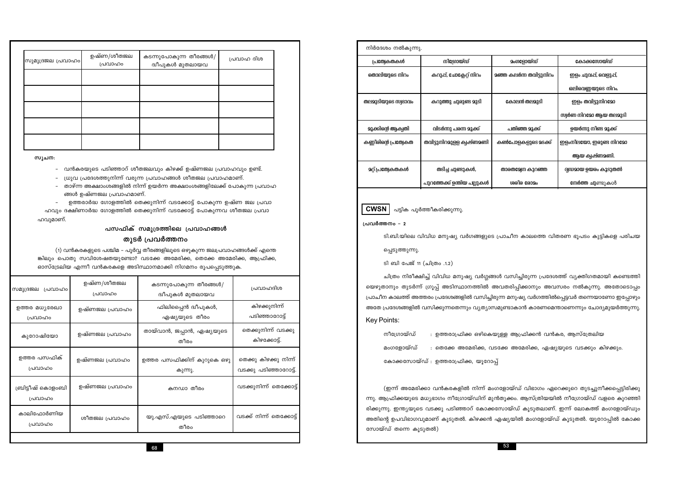| സുമുദ്രജല പ്രവാഹം | ഉഷ്ണ/ശീതജല<br>പ്രവാഹം | കടന്നുപോകുന്ന തീരങ്ങൾ/<br>.<br>ദ്വീപുകൾ മുതലായവ | പ്രവാഹ ദിശ |
|-------------------|-----------------------|-------------------------------------------------|------------|
|                   |                       |                                                 |            |
|                   |                       |                                                 |            |
|                   |                       |                                                 |            |
|                   |                       |                                                 |            |
|                   |                       |                                                 |            |

സൂചന:

വൻകരയുടെ പടിഞ്ഞാറ് ശീതജലവും കിഴക്ക് ഉഷ്ണജല പ്രവാഹവും ഉണ്ട്.

- ധ്രുവ പ്രദേശത്തുനിന്ന് വരുന്ന പ്രവാഹങ്ങൾ ശീതജല പ്രവാഹമാണ്.  $\equiv$
- താഴ്ന്ന അക്ഷാംശങ്ങളിൽ നിന്ന് ഉയർന്ന അക്ഷാംശങ്ങളിലേക്ക് പോകുന്ന പ്രവാഹ ങ്ങൾ ഉഷ്ണജല പ്രവാഹമാണ്.
- ഉത്തരാർദ്ധ ഗോളത്തിൽ തെക്കുനിന്ന് വടക്കോട്ട് പോകുന്ന ഉഷ്ണ ജല പ്രവാ ഹവും ദക്ഷിണാർദ്ധ ഗോളത്തിൽ തെക്കുനിന്ന് വടക്കോട്ട് പോകുന്നവ ശീതജല പ്രവാ

ഹവുമാണ്.

### പസഫിക് സമൂദ്രത്തിലെ പ്രവാഹങ്ങൾ

### തുടർ പ്രവർത്തനം

(1) വൻകരകളുടെ പശ്ചിമ – പൂർവ്വ തീരങ്ങളിലൂടെ ഒഴുകുന്ന ജലപ്രവാഹങ്ങൾക്ക് എന്തെ ങ്കിലും പൊതു സവിശേഷതയുണ്ടോ? വടക്കേ അമേരിക്ക, തെക്കേ അമേരിക്ക, ആഫ്രിക്ക, ഓസ്ട്രേലിയ എന്നീ വൻകരകളെ അടിസ്ഥാനമാക്കി നിഗമനം രൂപപ്പെടുത്തുക.

| സമുദ്രജല<br>പ്രവാഹം          | ഉഷ്ണ/ശീതജല<br>പ്രവാഹം | കടന്നുപോകുന്ന തീരങ്ങൾ/<br>ദ്വീപുകൾ മുതലായവ | പ്രവാഹദിശ                                      |
|------------------------------|-----------------------|--------------------------------------------|------------------------------------------------|
| ഉത്തര മധ്യരേഖാ<br>പ്രവാഹം    | ഉഷ്ണജല പ്രവാഹം        | ഫിലിപ്പൈൻ ദ്വീപുകൾ,<br>ഏഷ്യയുടെ തീരം       | കിഴക്കുനിന്ന്<br>പടിഞ്ഞാറോട്ട്                 |
| കുറോഷിയോ                     | ഉഷ്ണജല പ്രവാഹം        | തായ്വാൻ, ജപ്പാൻ, ഏഷ്യയുടെ<br>തീരം          | തെക്കുനിന്ന് വടക്കു<br>കിഴക്കോട്ട്.            |
| ഉത്തര പസഫിക്<br>പ്രവാഹം      | ഉഷ്ണജല പ്രവാഹം        | ഉത്തര പസഫിക്കിന് കുറുകെ ഒഴു<br>കുന്നു.     | തെക്കു കിഴക്കു നിന്ന്<br>വടക്കു പടിഞ്ഞാറോട്ട്. |
| ബ്രിട്ടീഷ് കൊളംബി<br>പ്രവാഹം | ഉഷ്ണജല പ്രവാഹം        | കനഡാ തീരം                                  | വടക്കുനിന്ന് തെക്കോട്ട്                        |
| കാലിഫോർണിയ<br>പ്രവാഹം        | ശീതജല പ്രവാഹം         | യു.എസ്.എയുടെ പടിഞ്ഞാറെ<br>തീരം             | വടക്ക് നിന്ന് തെക്കോട്ട്                       |
|                              |                       |                                            |                                                |

| നിർദേശം നൽകുന്നു.        |                            |                                |                        |
|--------------------------|----------------------------|--------------------------------|------------------------|
| പ്രത്യേകതകൾ              | നിഗ്രോയ്ഡ്                 | <b>മംഗളോയ്ഡ്</b>               | കോക്കസോയ്ഡ്            |
| തൊലിയുടെ നിറം            | കറുപ്പ്, ചോക്ലേറ്റ് നിറം   | <b>മഞ്ഞ കലർന്ന തവിട്ടുനിറം</b> | ഇളം ചുവപ്പ്, വെളുപ്,   |
|                          |                            |                                | ഒലിവെണ്ണയുടെ നിറം.     |
| തലമുടിയുടെ സ്വഭാവം       | കറുത്തു ചുരുണ്ട മുടി       | കോലൻ തലമുടി                    | ഇളം തവിട്ടുനിറമോ       |
|                          |                            |                                | സ്വർണ നിറമോ ആയ തലമുടി  |
| മുക്കിന്റെ ആകൃതി         | വിടർന്നു പരന്ന മുക്ക്      | പതിഞ്ഞ മൂക്ക്                  | ഉയർന്നു നീണ്ട മുക്ക്   |
| കണ്ണീരിന്റെ പ്രത്യേകത    | തവിട്ടുനിറമുള്ള കൃഷ്ണമണി   | കൺപോളകളുടെ മടക്ക്              | ഇളംനിലയോ, ഇരുണ്ട നിറമോ |
|                          |                            |                                | ആയ കൃഷ്ണമണി.           |
| <b>ഉറ്റ് പ്രത്യേകതകൾ</b> | തടിച്ച ചുണ്ടുകൾ,           | താരതമ്യേന കുറഞ്ഞ               | ദൃഡമായ ഉയരം കൂടുതൽ     |
|                          | പുറത്തേക്ക് ഉന്തിയ പല്ലുകൾ | ശരിര രോമം                      | നേർത്ത ചുണ്ടുകൾ        |

**CWSN** പട്ടിക പൂർത്തീകരിക്കുന്നു.

### പ്രവർത്തനം - 2

ടി.ബി.യിലെ വിവിധ മനുഷ്യ വർഗങ്ങളുടെ പ്രാചീന കാലത്തെ വിതരണ ഭൂപടം കുട്ടികളെ പരിചയ

പ്പെടുത്തുന്നു.

ടി ബി പേജ് 11 (ചിത്രം .1.2)

ചിത്രം നിരീക്ഷിച്ച് വിവിധ മനുഷ്യ വർഗ്ഗങ്ങൾ വസിച്ചിരുന്ന പ്രദേശത്ത് വ്യക്തിഗതമായി കണ്ടെത്തി യെഴുതാനും തുടർന്ന് ഗ്രൂപ്പ് അടിസ്ഥാനത്തിൽ അവതരിപ്പിക്കാനും അവസരം നൽകുന്നു. അതോടൊപ്പം പ്രാചീന കാലത്ത് അത്തരം പ്രദേശങ്ങളിൽ വസിച്ചിരുന്ന മനുഷ്യ വർഗത്തിൽപ്പെട്ടവർ തന്നെയാണോ ഇപ്പോഴും അതേ പ്രദേശങ്ങളിൽ വസിക്കുന്നതെന്നും വ്യത്യാസമുണ്ടാകാൻ കാരണമെന്താണെന്നും ചോദ്യമുയർത്തുന്നു. **Key Points:** 

| നീഗ്രോയ്ഡ് | : ഉത്തരാഫ്രിക്ക ഒഴികെയുള്ള            |
|------------|---------------------------------------|
| മംഗളോയ്ഡ്  | : തെക്കേ അമേരിക്ക, വടക്കേ             |
|            | കോക്കസോയ്ഡ് : ഉത്തരാഫ്രിക്ക, യൂറോപ്പ് |

(ഇന്ന് അമേരിക്കാ വൻകരകളിൽ നിന്ന് മംഗളോയ്ഡ് വിഭാഗം ഏറെക്കുറെ തുടച്ചുനീക്കപ്പെട്ടിരിക്കു ന്നു. ആഫ്രിക്കയുടെ മധ്യഭാഗം നീഗ്രോയ്ഡിന് മുൻതൂക്കം. ആസ്ത്രിയയിൽ നീഗ്രോയ്ഡ് വളരെ കുറഞ്ഞി രിക്കുന്നു. ഇന്ത്യയുടെ വടക്കു പടിഞ്ഞാറ് കോക്കസോയ്ഡ് കൂടുതലാണ്. ഇന്ന് ലോകത്ത് മംഗളോയ്ഡും അതിന്റെ ഉപവിഭാഗവുമാണ് കൂടുതൽ. കിഴക്കൻ ഏഷ്യയിൽ മംഗളോയ്ഡ് കൂടുതൽ. യൂറോപ്പിൽ കോക്ക സോയ്ഡ് തന്നെ കൂടുതൽ)

ആഫ്രിക്കൻ വൻകര, ആസ്ത്രേലിയ അമേരിക്ക, ഏഷ്യയുടെ വടക്കും കിഴക്കും.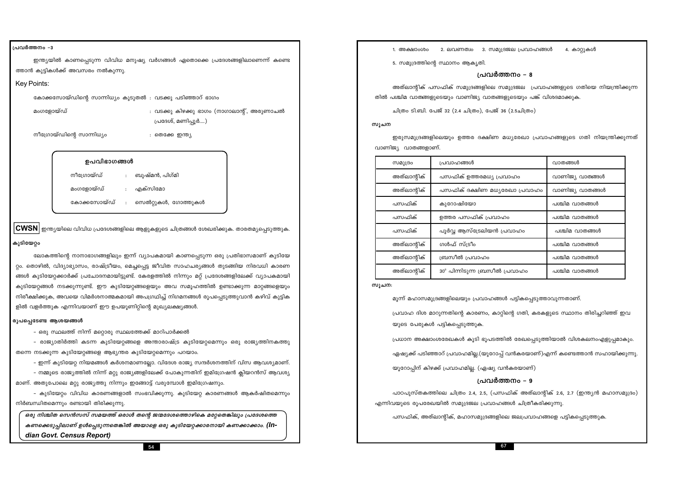### 54

കണക്കെടുപ്പിലാണ് ഉൾപ്പെടുന്നതെങ്കിൽ അയാളെ ഒരു കുടിയേറ്റക്കാരനായി കണക്കാക്കാം. (In-

### dian Govt. Census Report)

ഒരു നിശ്ചിത സെൻസസ് സമയത്ത് ഒരാൾ തന്റെ ജന്മദേശത്തൊഴികെ മറ്റേതെങ്കിലും പ്രദേശത്തെ

നിർബന്ധിതമെന്നും രണ്ടായി തിരിക്കുന്നു.

– നമ്മുടെ രാജ്യത്തിൽ നിന്ന് മറ്റു രാജ്യങ്ങളിലേക്ക് പോകുന്നതിന് ഇമിഗ്രേഷൻ ക്ലിയറൻസ് ആവശ്യ

– കുടിയേറ്റം വിവിധ കാരണങ്ങളാൽ സംഭവിക്കുന്നു. കുടിയേറ്റ കാരണങ്ങൾ ആകർഷിതമെന്നും

തന്നെ നടക്കുന്ന കുടിയേറ്റങ്ങളെ ആഭ്യന്തര കുടിയേറ്റമെന്നും പറയാം. – ഇന്ന് കുടിയേറ്റ നിയമങ്ങൾ കർശനമാണല്ലോ. വിദേശ രാജ്യ സന്ദർശനത്തിന് വിസ ആവശ്യമാണ്.

- ഒരു സ്ഥലത്ത് നിന്ന് മറ്റൊരു സ്ഥലത്തേക്ക് മാറിപാർക്കൽ - രാജ്യാതിർത്തി കടന്ന കുടിയേറ്റങ്ങളെ അന്താരാഷ്ട്ര കുടിയേറ്റമെന്നും ഒരു രാജ്യത്തിനകത്തു

രൂപപ്പെടേണ്ട ആശയങ്<mark>ങ</mark>ൾ

റ്റം. തൊഴിൽ, വിദ്യാഭ്യാസം, രാഷ്ട്രീയം, മെച്ചപ്പെട്ട ജീവിത സാഹചര്യങ്ങൾ തുടങ്ങിയ നിരവധി കാരണ ങ്ങൾ കുടിയേറ്റക്കാർക്ക് പ്രചോദനമായിട്ടുണ്ട്. കേരളത്തിൽ നിന്നും മറ്റ് പ്രദേശങ്ങളിലേക്ക് വ്യാപകമായി കുടിയേറ്റങ്ങൾ നടക്കുന്നുണ്ട്. ഈ കുടിയേറ്റങ്ങളെയും അവ സമൂഹത്തിൽ ഉണ്ടാക്കുന്ന മാറ്റങ്ങളെയും നിരീക്ഷിക്കുക, അവയെ വിമർശനാത്മകമായി അപഗ്രഥിച്ച് നിഗമനങ്ങൾ രൂപപ്പെടുത്തുവാൻ കഴിവ് കുട്ടിക

 $\textbf{CWSN}\vert$  ഇന്ത്യയിലെ വിവിധ പ്രദേശങ്ങളിലെ ആളുകളുടെ ചിത്രങ്ങൾ ശേഖരിക്കുക. താരതമ്യപ്പെടുത്തുക.

ലോകത്തിന്റെ നാനാഭാഗങ്ങളിലും ഇന്ന് വ്യാപകമായി കാണപ്പെടുന്ന ഒരു പ്രതിഭാസമാണ് കുടിയേ

കോക്കസോയ്ഡ് സെൽറ്റുകൾ, ഗോത്തുകൾ  $\langle \pm \rangle$ 

മംഗളോയ്ഡ് എക്സിമോ

ളിൽ വളർത്തുക എന്നിവയാണ് ഈ ഉപയൂണിറ്റിന്റെ മുഖ്യലക്ഷ്യങ്ങൾ.

മാണ്. അതുപോലെ മറ്റു രാജ്യത്തു നിന്നും ഇങ്ങോട്ട് വരുമ്പോൾ ഇമിഗ്രേഷനും.

നീശോയ്ഡ് : ബുഷ്മൻ, പിഗ്മി

ഉപവിഭാഗങ്ങൾ

പ്രദേശ്, മണിപ്പൂർ....)

: തെക്കേ ഇന്ത്യ

കോക്കസോയ്ഡിന്റെ സാന്നിധ്യം കൂടുതൽ : വടക്കു പടിഞ്ഞാറ് ഭാഗം : വടക്കു കിഴക്കു ഭാഗം (നാഗാലാന്റ്, അരുണാചൽ

ത്താൻ കുട്ടികൾക്ക് അവസരം നൽകുന്നു.

മംഗളോയ്ഡ്

നീഗ്രോയ്ഡിന്റെ സാന്നിധ്യം

പ്രവർത്തനം -3

Key Points:

കുടിയേറ്റം

ഇന്ത്യയിൽ കാണപ്പെടുന്ന വിവിധ മനുഷ്യ വർഗങ്ങൾ ഏതൊക്കെ പ്രദേശങ്ങളിലാണെന്ന് കണ്ടെ

1. അക്ഷാംശം

സൂചന

വാണിജ്യ വാതങ്ങളാണ്.

അത്ലാന്റിക്

അത്ലാന്റിക്

പസഫിക്

പസഫിക്

പസഫിക്

അത്ലാന്റിക്

അത്ലാന്റിക്

അത്ലാൻിക്

സൂചന:

സമുദ്രം

യുടെ പേരുകൾ പട്ടികപ്പെടുത്തുക.

പ്രവർത്തനം – 8

5. സമുദ്രത്തിന്റെ സ്ഥാനം ആകൃതി.

67

2. ലവണത്വം 3. സമുദ്രജല പ്രവാഹങ്ങൾ 4. കാറ്റുകൾ

അത്ലാന്റിക് പസഫിക് സമുദ്രങ്ങളിലെ സമുദ്രജല പ്രവാഹങ്ങളുടെ ഗതിയെ നിയന്ത്രിക്കുന്ന തിൽ പശ്ചിമ വാതങ്ങളുടെയും വാണിജ്യ വാതങ്ങളുടെയും പങ്ക് വിശദമാക്കുക.

ചിത്രം ടി.ബി. പേജ് 32 (2.4 ചിത്രം), പേജ് 36 (2.5ചിത്രം)

ഇരുസമുദ്രങ്ങളിലെയും ഉത്തര ദക്ഷിണ മധ്യരേഖാ പ്രവാഹങ്ങളുടെ ഗതി നിയന്ത്രിക്കുന്നത്

| പ്രവാഹങ്ങൾ                              | വാതങ്ങൾ         |  |
|-----------------------------------------|-----------------|--|
| പസഫിക് ഉത്തരമധ്യ പ്രവാഹം                | വാണിജ്യ വാതങ്ങൾ |  |
| പസഫിക് ദക്ഷിണ മധൃരേഖാ പ്രവാഹം           | വാണിജ്യ വാതങ്ങൾ |  |
| കുറോഷിയോ                                | പശ്ചിമ വാതങ്ങൾ  |  |
| ഉത്തര പസഫിക് പ്രവാഹം                    | പശ്ചിമ വാതങ്ങൾ  |  |
| പൂർവ്വ ആസ്ട്രേലിയൻ പ്രവാഹം              | പശ്ചിമ വാതങ്ങൾ  |  |
| ഗൾഫ് സ്ട്രീം                            | പശ്ചിമ വാതങ്ങൾ  |  |
| ബ്രസീൽ പ്രവാഹം                          | പശ്ചിമ വാതങ്ങൾ  |  |
| $30^{\circ}$ പിന്നിടുന്ന ബ്രസീൽ പ്രവാഹം | പശ്ചിമ വാതങ്ങൾ  |  |

മൂന്ന് മഹാസമുദ്രങ്ങളിലെയും പ്രവാഹങ്ങൾ പട്ടികപ്പെടുത്താവുന്നതാണ്.

പ്രവാഹ ദിശ മാറുന്നതിന്റെ കാരണം, കാറ്റിന്റെ ഗതി, കരകളുടെ സ്ഥാനം തിരിച്ചറിഞ്ഞ് ഇവ

പ്രധാന അക്ഷാംശരേഖകൾ കൂടി ഭൂപടത്തിൽ രേഖപ്പെടുത്തിയാൽ വിശകലനംഎളുപ്പമാകും.

ഏഷ്യക്ക് പടിഞ്ഞാറ് പ്രവാഹമില്ല.(യൂറോപ്പ് വൻകരയാണ്)എന്ന് കണ്ടെത്താൻ സഹായിക്കുന്നു.

യൂറോപ്പിന് കിഴക്ക് പ്രവാഹമില്ല. (ഏഷ്യ വൻകരയാണ്)

### പ്രവർത്തനം – 9

പാഠപുസ്തകത്തിലെ ചിത്രം 2.4, 2.5, (പസഫിക് അത്ലാന്റിക് 2.6, 2.7 (ഇന്ത്യൻ മഹാസമുദ്രം) എന്നിവയുടെ രുപരേഖയിൽ സമുദ്രജല പ്രവാഹങ്ങൾ ചിത്രീകരിക്കുന്നു.

പസഫിക്, അത്ലാന്റിക്, മഹാസമുദ്രങ്ങളിലെ ജലപ്രവാഹങ്ങളെ പട്ടികപ്പെടുത്തുക.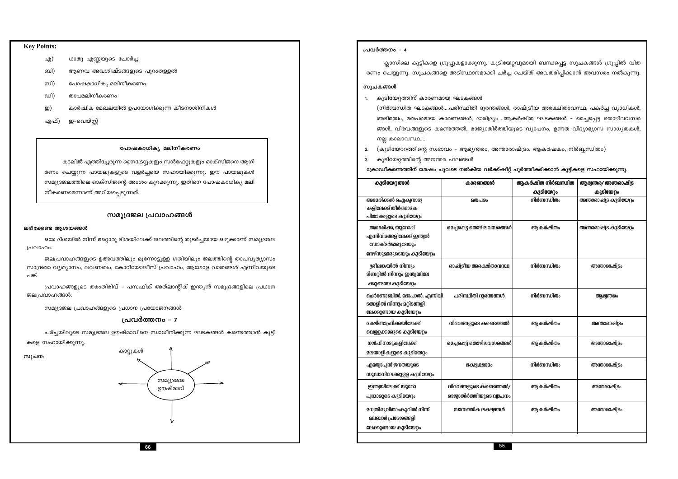### **Key Points:**

- ധാതു എണ്ണയുടെ ചോർച്ച എ)
- ബി) ആണവ അവശിഷ്ടങ്ങളുടെ പുറംതള്ളൽ
- സി) പോഷകാധികൃ മലിനീകരണം
- ഡി) താപമലിനീകരണം
- കാർഷിക മേഖലയിൽ ഉപയോഗിക്കുന്ന കീടനാശിനികൾ ഇ)
- എഫ്) ഇ-വെയ്സ്റ്റ്

### പോഷകാധികൃ മലിനീകരണം

കടലിൽ എത്തിച്ചേരുന്ന നൈട്രേറ്റുകളും സൾഫേറ്റുകളും ഓക്സിജനെ ആഗി രണം ചെയ്യുന്ന പായലുകളുടെ വളർച്ചയെ സഹായിക്കുന്നു. ഈ പായലുകൾ സമുദ്രജലത്തിലെ ഓക്സിജന്റെ അംശം കുറക്കുന്നു. ഇതിനെ പോഷകാധികൃ മലി നീകരണമെന്നാണ് അറിയപ്പെടുന്നത്.

### സമൂദ്രജല പ്രവാഹങ്ങൾ

### ലഭിക്കേണ്ട ആശയങ്ങൾ

ഒരേ ദിശയിൽ നിന്ന് മറ്റൊരു ദിശയിലേക്ക് ജലത്തിന്റെ തുടർച്ചയായ ഒഴുക്കാണ് സമുദ്രജല പ്രവാഹം.

ജലപ്രവാഹങ്ങളുടെ ഉത്ഭവത്തിലും മുന്നോട്ടുള്ള ഗതിയിലും ജലത്തിന്റെ താപവ്യത്യാസം സാന്ദ്രതാ വ്യത്യാസം, ലവണത്വം, കോറിയോലീസ് പ്രവാഹം, ആഗോള വാതങ്ങൾ എന്നിവയുടെ പങ്ക്.

പ്രവാഹങ്ങളുടെ തരംതിരിവ് – പസഫിക് അത്ലാന്റിക് ഇന്ത്യൻ സമുദ്രങ്ങളിലെ പ്രധാന ജലപ്രവാഹങ്ങൾ.

സമുദ്രജല പ്രവാഹങ്ങളുടെ പ്രധാന പ്രയോജനങ്ങൾ

### പ്രവർത്തനം – 7

ചർച്ചയിലൂടെ സമുദ്രജല ഊഷ്മാവിനെ സ്വാധീനിക്കുന്ന ഘടകങ്ങൾ കണ്ടെത്താൻ കുട്ടി

കളെ സഹായിക്കുന്നു.

സൂചന:



പ്രവർത്തനം - 4

ക്ലാസിലെ കുട്ടികളെ ഗ്രൂപ്പുകളാക്കുന്നു. കുടിയേറ്റവുമായി ബന്ധപ്പെട്ട സൂചകങ്ങൾ ഗ്രൂപ്പിൽ വിത രണം ചെയ്യുന്നു. സൂചകങ്ങളെ അടിസ്ഥാനമാക്കി ചർച്ച ചെയ്ത് അവതരിപ്പിക്കാൻ അവസരം നൽകുന്നു.

### സൂചകങ്ങൾ

1. കുടിയേറ്റത്തിന് കാരണമായ ഘടകങ്ങൾ

(നിർബന്ധിത ഘടകങ്ങൾ....പരിസ്ഥിതി ദുരന്തങ്ങൾ, രാഷ്ട്രീയ അരക്ഷിതാവസ്ഥ, പകർച്ച വ്യാധികൾ, അടിമത്വം, മതപരമായ കാരണങ്ങൾ, ദാരിദ്ര്യം....ആകർഷിത ഘടകങ്ങൾ - മെച്ചപ്പെട്ട തൊഴിലവസര ങ്ങൾ, വിഭവങ്ങളുടെ കണ്ടെത്തൽ, രാജ്യാതിർത്തിയുടെ വ്യാപനം, ഉന്നത വിദ്യാഭ്യാസ സാധ്യതകൾ, നല്ല കാലാവസ്ഥ....!

- 2. (കുടിയേററത്തിന്റെ സ്വഭാവം ആഭ്യന്തരം, അന്താരാഷ്ട്രം, ആകർഷകം, നിർബ്ബന്ധിതം)
- 3. കുടിയേറ്റത്തിന്റെ അനന്തര ഫലങ്ങൾ

ക്രോഡീകരണത്തിന് ശേഷം ചുവടെ നൽകിയ വർക്ക്ഷീറ്റ് പൂർത്തീകരിക്കാൻ കുട്ടികളെ സഹായിക്കുന്നു.

| കുടിയേറ്റങ്ങൾ                                                                                             | കാരണങ്ങൾ                                            | ആകർഷിത നിർബന്ധിത | ആഭ്യന്തര/ അന്തരാഷ്ട്ര   |  |
|-----------------------------------------------------------------------------------------------------------|-----------------------------------------------------|------------------|-------------------------|--|
|                                                                                                           |                                                     | കുടിയേറ്റം       | കുടിയേറ്റം              |  |
| അമേരിക്കൻ ഐക്വനാടു<br>കളിലേക്ക് തീർത്ഥാടക<br>പിതാക്കളുടെ കുടിയേറ്റം                                       | <b>200</b> പിരം                                     | നിർബന്ധിതം       | അന്താരാഷ്ട്ര കുടിയേറ്റം |  |
| അമേരിക്ക, യൂറോപ്പ്<br>എന്നിവിടങ്ങളിലേക്ക് ഇന്ത്വൻ<br><b>ഡോക്ടർമാരുടേയും</b><br>നേഴ്സുമാരുടെയും കുടിയേറ്റം | മെച്ചപ്പെട്ട തൊഴിലവസരങ്ങൾ                           | ആകർഷിതം          | അന്താരാഷ്ട്ര കുടിയേറ്റം |  |
| ശ്രീലങ്കയിൽ നിന്നും<br>ടിബറ്റിൽ നിന്നും ഇന്ത്വയിലേ<br>ക്കുണ്ടായ കുടിയേറ്റം                                | രാഷ്ട്രീയ അരക്ഷിതാവസ്ഥ                              | നിർബന്ധിതം       | അന്താരാഷ്ട്രം           |  |
| ചെർണോബിൽ, ഭോപാൽ, എന്നിവി<br>പരിസ്ഥിതി ദുരന്തങ്ങൾ<br>ടങ്ങളിൽ നിന്നും മറ്റിടങ്ങളി<br>ലേക്കുണ്ടായ കുടിയേറ്റം |                                                     | നിർബന്ധിതം       | ആഭ്യന്തരം               |  |
| ദക്ഷിണാഫ്രിക്കയിലേക്ക്<br>വെള്ളക്കാരുടെ കുടിയേറ്റം                                                        | വിഭവങ്ങളുടെ കണ്ടെത്തൽ                               | ആകർഷിതം          | അന്താരാഷ്ട്രം           |  |
| ഗൾഫ് നാടുകളിലേക്ക്<br>മലയാളികളുടെ കുടിയേറ്റം                                                              | മെച്ചപ്പെട്ട തൊഴിലവസരങ്ങൾ                           | ആകർഷിതം          | അന്താരാഷ്ട്രം           |  |
| എത്വോപ്വൻ ജനതയുടെ<br>ഭക്ഷ്വക്ഷാമം<br>സുഡാനിലേക്കുള്ള കുടിയേറ്റം                                           |                                                     | നിർബന്ധിതം       | അന്താരാഷ്ട്രം           |  |
| ഇന്ത്വയിലേക്ക് യുറോ<br>പ്വന്മാരുടെ കുടിയേറ്റം                                                             | വിഭവങ്ങളുടെ കണ്ടെത്തൽ/<br>രാജ്വാതിർത്തിയുടെ വ്വാപനം | ആകർഷിതം          | അന്തരാഷ്ട്രം            |  |
| മധ്വതിരുവിതാംകൂറിൽ നിന്ന്<br><b>മലബാർ പ്രദേശങ്ങളി</b><br>ലേക്കുണ്ടായ കുടിയേറ്റം                           | സാമ്പത്തിക ലക്ഷ്വങ്ങൾ                               | ആകർഷിതം          | അന്താരാഷ്ട്രം           |  |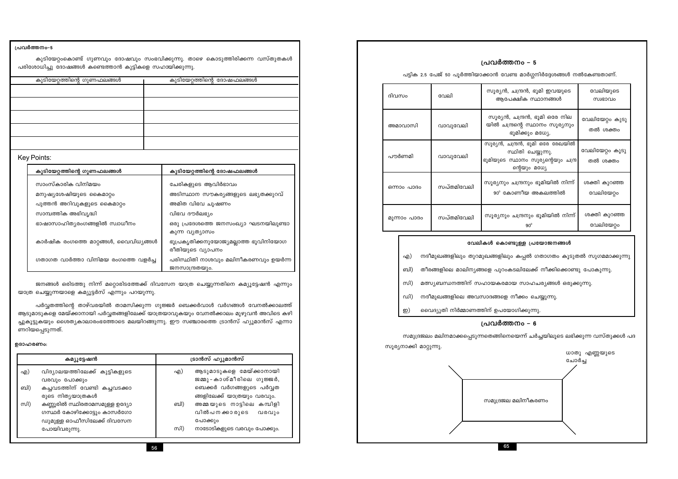| ---<br>________ | സി) |
|-----------------|-----|
|                 |     |
|                 | . . |

ട്രാൻസ് ഹ്യൂമാൻസ് കമ്യൂട്ടേഷൻ ആടുമാടുകളെ മേയ്ക്കാനായി വിദ്യാലയത്തിലേക്ക് കുട്ടികളുടെ എ) എ) ജമ്മു-കാശ്മീരിലെ ഗുജ്ജർ, വരവും പോക്കും ബി) കച്ചവടത്തിന് വേണ്ടി കച്ചവടക്കാ ബെക്കർ വർഗങ്ങളുടെ പർവ്വത രുടെ നിതൃയാത്രകൾ ങ്ങളിലേക്ക് യാത്രയും വരവും. അമ്മയുടെ നാട്ടിലെ കമ്പിളി കണ്ണൂരിൽ സ്ഥിരതാമസമുള്ള ഉദ്യോ ബി) സി) ഗസ്ഥർ കോഴിക്കോട്ടും കാസർഗോ വിൽപനക്കാരുടെ വരവും ഡുമുള്ള ഓഫീസിലേക്ക് ദിവസേന പോക്കും പോയിവരുന്നു. നാടോടികളുടെ വരവും പോക്കും.

### ഉദാഹരണം:

പർവ്വതത്തിന്റെ താഴ്വരയിൽ താമസിക്കുന്ന ഗുജ്ജർ ബെക്കർവാൾ വർഗങ്ങൾ വേനൽക്കാലത്ത് ആടുമാടുകളെ മേയ്ക്കാനായി പർവ്വതങ്ങളിലേക്ക് യാത്രയാവുകയും വേനൽക്കാലം മുഴുവൻ അവിടെ കഴി ച്ചുകൂട്ടുകയും ശൈത്യകാലാരംഭത്തോടെ മലയിറങ്ങുന്നു. ഈ സഞ്ചാരത്തെ ട്രാൻസ് ഹ്യൂമാൻസ് എന്നാ ണറിയപ്പെടുന്നത്.

ജനങ്ങൾ ഒരിടത്തു നിന്ന് മറ്റൊരിടത്തേക്ക് ദിവസേന യാത്ര ചെയ്യുന്നതിനെ കമ്യൂട്ടേഷൻ എന്നും

### യാത്ര ചെയ്യുന്നയാളെ കമ്യൂട്ടർസ് എന്നും പറയുന്നു.

| y Points:                             |                                                           |
|---------------------------------------|-----------------------------------------------------------|
| കുടിയേറ്റത്തിന്റെ ഗുണഫലങ്ങൾ           | കുടിയേറ്റത്തിന്റെ ദോഷഫലങ്ങൾ                               |
| സാംസ്കാരിക വിനിമയം                    | ചേരികളുടെ ആവിർഭാവം                                        |
| മനുഷ്യശേഷിയുടെ കൈമാറ്റം               | അടിസ്ഥാന സൗകര്യങ്ങളുടെ ലഭ്യതക്കുറവ്                       |
| പുത്തൻ അറിവുകളുടെ കൈമാറ്റം            | അമിത വിഭവ ചൂഷണം                                           |
| സാമ്പത്തിക അഭിവൃദ്ധി                  | വിഭവ ദൗർലഭ്യം                                             |
| ഭാഷാസാഹിത്യരംഗങ്ങളിൽ സ്വാധീനം         | ഒരു പ്രദേശത്തെ ജനസംഖ്യാ ഘടനയിലുണ്ടാ<br>കുന്ന വൃത്യാസം     |
| കാർഷിക രംഗത്തെ മാറ്റങ്ങൾ, വൈവിധ്യങ്ങൾ | ഭൂപ്രകൃതിക്കനുയോജ്യമല്ലാത്ത ഭൂവിനിയോഗ<br>രീതിയുടെ വ്യാപനം |
| ഗതാഗത വാർത്താ വിനിമയ രംഗത്തെ വളർച്ച   | പരിസ്ഥിതി നാശവും മലിനീകരണവും ഉയർന്ന<br>ജനസാന്ദ്രതയും.     |

### Ke

പ്രവർത്തനം-5

| ⊿ວ ລັດ ແລະ ເປັນ ແລະ ເປັນ ແລະ ເປັນ ແລະ ເປັນ ແລະ ເປັນ ແລະ ເປັນ ແລະ ເປັນ ແລະ ເປັນ ແລະ ເປັນ ແລະ ເປັນ ແລະ ເປັນ ແລະ |                             |
|---------------------------------------------------------------------------------------------------------------|-----------------------------|
| കുടിയേറ്റത്തിന്റെ ഗുണഫലങ്ങൾ                                                                                   | കുടിയേറ്റത്തിന്റെ ദോഷഫലങ്ങൾ |
|                                                                                                               |                             |
|                                                                                                               |                             |
|                                                                                                               |                             |
|                                                                                                               |                             |
|                                                                                                               |                             |
|                                                                                                               |                             |

പരിശോധിച്ചു ദോഷങ്ങൾ കണ്ടെത്താൻ കുട്ടികളെ സഹായിക്കുന്നു.

കുടിയേറ്റംകൊണ്ട് ഗുണവും ദോഷവും സംഭവിക്കുന്നു. താഴെ കൊടുത്തിരിക്കന്ന വസ്തുതകൾ

പട്ടിക 2.5 പേജ് 50 പൂർത്തിയാക്കാൻ വേണ്ട മാർഗ്ഗനിർദ്ദേശങ്ങൾ നൽകേണ്ടതാണ്.

| ദിവസം        | വേലി       | സൂര്യൻ, ചന്ദ്രൻ, ഭൂമി ഇവയുടെ<br>ആപേക്ഷിക സ്ഥാനങ്ങൾ                                                             | വേലിയുടെ<br>സ്വഭാവം         |
|--------------|------------|----------------------------------------------------------------------------------------------------------------|-----------------------------|
| അമാവാസി      | വാവുവേലി   | സൂര്യൻ, ചന്ദ്രൻ, ഭൂമി ഒരേ നില<br>യിൽ ചന്ദ്രന്റെ സ്ഥാനം സൂര്യനും<br>ഭൂമിക്കും മധ്യേ.                            | വേലിയേറ്റം കൂടു<br>തൽ ശക്തം |
| പൗർണമി       | വാവുവേലി   | സൂര്യൻ, ചന്ദ്രൻ, ഭൂമി ഒരേ രേഖയിൽ<br>സ്ഥിതി ചെയ്യുന്നു.<br>ഭൂമിയുടെ സ്ഥാനം സൂര്യന്റെയും ചന്ദ്ര<br>ന്റെയും മധ്യേ | വേലിയേറ്റം കൂടു<br>തൽ ശക്തം |
| ഒന്നാം പാദം  | സപ്തമിവേലി | സൂര്യനും ചന്ദ്രനും ഭൂമിയിൽ നിന്ന്<br>$90^{\circ}$ കോണീയ അകലത്തിൽ                                               | ശക്തി കുറഞ്ഞ<br>വേലിയേറ്റം  |
| മൂന്നാം പാദം | സപ്തമിവേലി | സൂര്യനും ചന്ദ്രനും ഭൂമിയിൽ നിന്ന്<br>$90^{\circ}$                                                              | ശക്തി കുറഞ്ഞ<br>വേലിയേറ്റം  |

- നദീമുഖങ്ങളിലും തുറമുഖങ്ങളിലും കപ്പൽ ഗതാഗതം കൂടുതൽ സുഗമമാക്കുന്നു എ)
- ബി) തീരങ്ങളിലെ മാലിന്യങ്ങളെ പുറംകടലിലേക്ക് നീക്കിക്കൊണ്ടു പോകുന്നു.
- സി) മത്സ്യബന്ധനത്തിന് സഹായകരമായ സാഹചര്യങ്ങൾ ഒരുക്കുന്നു.
- നദീമുഖങ്ങളിലെ അവസാദങ്ങളെ നീക്കം ചെയ്യുന്നു. ഡി)
- വൈദ്യുതി നിർമ്മാണത്തിന് ഉപയോഗിക്കുന്നു. ഇ)

### പ്രവർത്തനം – 6

സൂര്യനാക്കി മാറ്റുന്നു.



### പ്രവർത്തനം - 5

### വേലികൾ കൊണ്ടുള്ള പ്രയോജനങ്ങൾ

സമുദ്രജലം മലിനമാക്കപ്പെടുന്നതെങ്ങിനെയെന്ന് ചർച്ചയിലൂടെ ലഭിക്കുന്ന വസ്തുക്കൾ പദ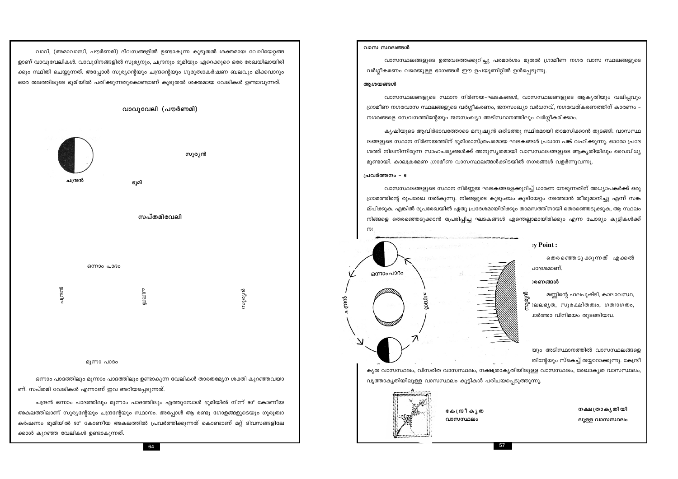ചന്ദ്രൻ ഒന്നാം പാദത്തിലും മൂന്നാം പാദത്തിലും എത്തുമ്പോൾ ഭൂമിയിൽ നിന്ന് 90º കോണീയ ക്കാൾ കുറഞ്ഞ വേലികൾ ഉണ്ടാകുന്നത്.

ഒന്നാം പാദത്തിലും മൂന്നാം പാദത്തിലും ഉണ്ടാകുന്ന വേലികൾ താരതമ്യേന ശക്തി കുറഞ്ഞവയാ

അകലത്തിലാണ് സൂര്യന്റേയും ചന്ദ്രന്റേയും സ്ഥാനം. അപ്പോൾ ആ രണ്ടു ഗോളങ്ങളുടെയും ഗുരുത്വാ കർഷണം ഭൂമിയിൽ 90º കോണീയ അകലത്തിൽ പ്രവർത്തിക്കുന്നത് കൊണ്ടാണ് മറ്റ് ദിവസങ്ങളിലേ

മൂന്നാ പാദം

ണ്. സപ്തമി വേലികൾ എന്നാണ് ഇവ അറിയപ്പെടുന്നത്.

ചന്ദ്രൻ ഭൂമി സപ്തമിവേലി ഒന്നാം പാദം ചന്ദ്രൻ സൂര്യൻ മ്പ്യുന്ന

വാവ്, (അമാവാസി, പൗർണമി) ദിവസങ്ങളിൽ ഉണ്ടാകുന്ന കൂടുതൽ ശക്തമായ വേലിയേറ്റങ്ങ ളാണ് വാവുവേലികൾ. വാവുദിനങ്ങളിൽ സൂര്യനും, ചന്ദ്രനും ഭൂമിയും ഏറെക്കുറെ ഒരേ രേഖയിലായിരി ക്കും സ്ഥിതി ചെയ്യുന്നത്. അപ്പോൾ സൂര്യന്റെയും ചന്ദ്രന്റെയും ഗുരുത്വാകർഷണ ബലവും മിക്കവാറും ഒരേ തലത്തിലൂടെ ഭൂമിയിൽ പതിക്കുന്നതുകൊണ്ടാണ് കൂടുതൽ ശക്തമായ വേലികൾ ഉണ്ടാവുന്നത്.

വാവുവേലി (പൗർണമി)

സൂര്യൻ



കേന്ദ്രീ കൃത വാസസ്ഥലം

വൃത്താകൃതിയിലുള്ള വാസസ്ഥലം കുട്ടികൾ പരിചയപ്പെടുത്തുന്നു.



വാസസ്ഥലങ്ങളുടെ സ്ഥാന നിർണ്ണയ ഘടകങ്ങളെക്കുറിച്ച് ധാരണ നേടുന്നതിന് അധ്യാപകർക്ക് ഒരു ഗ്രാമത്തിന്റെ രൂപരേഖ നൽകുന്നു. നിങ്ങളുടെ കുടുംബം കുടിയേറ്റം നടത്താൻ തീരുമാനിച്ചു എന്ന് സങ്ക ല്പിക്കുക. എങ്കിൽ രൂപരേഖയിൽ ഏതു പ്രദേശമായിരിക്കും താമസത്തിനായി തെരഞ്ഞെടുക്കുക, ആ സ്ഥലം നിങ്ങളെ തെരഞ്ഞെടുക്കാൻ പ്രേരിപ്പിച്ച ഘടകങ്ങൾ എന്തെല്ലാമായിരിക്കും എന്ന ചോദ്യം കുട്ടികൾക്ക്  $m$ 

പ്രവർത്തനം - 6

കൃഷിയുടെ ആവിർഭാവത്തോടെ മനുഷ്യൻ ഒരിടത്തു സ്ഥിരമായി താമസിക്കാൻ തുടങ്ങി. വാസസ്ഥ ലങ്ങളുടെ സ്ഥാന നിർണയത്തിന് ഭൂമിശാസ്ത്രപരമായ ഘടകങ്ങൾ പ്രധാന പങ്ക് വഹിക്കുന്നു. ഓരോ പ്രദേ ശത്ത് നിലനിന്നിരുന്ന സാഹചര്യങ്ങൾക്ക് അനുസൃതമായി വാസസ്ഥലങ്ങളുടെ ആകൃതിയിലും വൈവിധ്യ മുണ്ടായി. കാലക്രമേണ ഗ്രാമീണ വാസസ്ഥലങ്ങൾക്കിടയിൽ നഗരങ്ങൾ വളർന്നുവന്നു.

വാസസ്ഥലങ്ങളുടെ സ്ഥാന നിർണയ–ഘടകങ്ങൾ, വാസസ്ഥലങ്ങളുടെ ആകൃതിയും വലിപ്പവും ഗ്രാമീണ നഗരവാസ സ്ഥലങ്ങളുടെ വർഗ്ഗീകരണം, ജനസംഖ്യാ വർധനവ്, നഗരവത്കരണത്തിന് കാരണം – നഗരങ്ങളെ സേവനത്തിന്റേയും ജനസംഖ്യാ അടിസ്ഥാനത്തിലും വർഗ്ഗീകരിക്കാം.

### ആശയങ്ങൾ

വാസസ്ഥലങ്ങളുടെ ഉത്ഭവത്തെക്കുറിച്ചു പരമാർശം മുതൽ ഗ്രാമീണ നഗര വാസ സ്ഥലങ്ങളുടെ വർഗ്ഗീകരണം വരെയുള്ള ഭാഗങ്ങൾ ഈ ഉപയൂണിറ്റിൽ ഉൾപ്പെടുന്നു.

വാസ സ്ഥലങ്ങൾ

by Point:

തെരഞ്ഞെ ടുക്കുന്നത് എക്കൽ ചദേശമാണ്.

### **)**രണങ്ങൾ

സൂര്യൻ

മണ്ണിന്റെ ഫലപുഷ്ടി, കാലാവസ്ഥ, ഃലലഭൃത, സുരക്ഷിതത്വം, ഗത്നാഗതം, ്ാർത്താ വിനിമയം തുടങ്ങിയവ.

യും അടിസ്ഥാനത്തിൽ വാസസ്ഥലങ്ങളെ തിന്റേയും സ്കെച്ച് തയ്യാറാക്കുന്നു. കേന്ദ്രീ കൃത വാസസ്ഥലം, വിസരിത വാസസ്ഥലം, നക്ഷത്രാകൃതിയിലുള്ള വാസസ്ഥലം, രേഖാകൃത വാസസ്ഥലം,

> നക്ഷത്രാകൃതിയി ലുള്ള വാസസ്ഥലം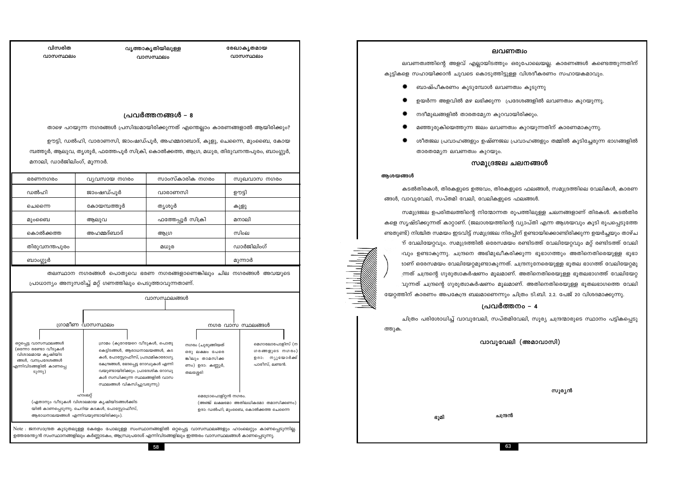### ലവണത്വം

ലവണത്വത്തിന്റെ അളവ് എല്ലായിടത്തും ഒരുപോലെയല്ല. കാരണങ്ങൾ കണ്ടെത്തുന്നതിന് കുട്ടികളെ സഹായിക്കാൻ ചുവടെ കൊടുത്തിട്ടുള്ള വിശദീകരണം സഹായകമാവും.

- ബാഷ്പീകരണം കൂടുമ്പോൾ ലവണത്വം കൂടുന്നു
- ഉയർന്ന അളവിൽ മഴ ലഭിക്കുന്ന പ്രദേശങ്ങളിൽ ലവണത്വം കുറയുന്നു.
- 
- 
- 
- 
- 
- 
- 
- 
- 
- 
- 
- 
- 
- 
- 
- 
- 
- 
- 
- 
- നദീമുഖങ്ങളിൽ താരതമ്യേന കുറവായിരിക്കും.
- 
- 
- 
- 
- താരതമ്യേന ലവണത്വം കുറയും.
- 
- 
- 
- 

### ആശയങ്ങൾ

ത്തുക.

വിസരിത

വാസസ്ഥലം

മനാലി, ഡാർജിലിംഗ്, മൂന്നാർ.

commungo

ഡൽഹി

ചെന്നൈ

മുംബൈ

ബാംഗ്ലൂർ

ഒറ്റപ്പെട്ട വാസസ്ഥലങ്ങൾ

(ഒന്നോ രണ്ടോ വീടുകൾ

വിശാലമായ കൃഷിയിട

ങ്ങൾ, വനപ്രദേശങ്ങൾ

<mark>ണിവിടങ്ങളിൽ കാണപ്പെ</mark>

ടുന്നു)

കൊൽക്കത്ത

തിരുവനന്തപുരം

വ്യവസായ നഗരം

ജാംഷഡ്പുർ

കോയമ്പത്തൂർ

അഹമ്മദ്ബാദ്

പ്രാധാന്യം അനുസരിച്ച് മറ്റ് ഗണത്തിലും പെടുത്താവുന്നതാണ്.

ഗ്രാമം (കുറേയേറെ വീടുകൾ, പൊതു

കെട്ടിടങ്ങൾ, ആരാധനാലയങ്ങൾ, കട

കൾ, പോസ്റ്റോഫീസ്, പ്രാഥമികാരോഗ്യ

കേന്ദ്രങ്ങൾ, ഭേദപ്പെട്ട റോഡുകൾ എന്നി

വയുണ്ടായിരിക്കും. പ്രാദേശിക റോഡു

കൾ സന്ധിക്കുന്ന സ്ഥലങ്ങളിൽ വാസ സ്ഥലങ്ങൾ വികസിച്ചുവരുന്നു)

Note : ജനസാന്ദ്രത കൂടുതലുള്ള കേരളം പോലുള്ള സംസ്ഥാനങ്ങളിൽ ഒറ്റപ്പെട്ട വാസസ്ഥലങ്ങളും ഹാംലെറ്റും കാണപ്പെടുന്നില്ല.

58

ഉത്തരേന്ത്യൻ സംസ്ഥാനങ്ങളിലും കർണ്ണാടകം, ആന്ധ്രപ്രദേശ് എന്നിവിടങ്ങളിലും ഇത്തരം വാസസ്ഥലങ്ങൾ കാണപ്പെടുന്നു

ആലുവ

ഗ്രാമീണ വാസസ്ഥലം

ഹാംലറ്റ്

(ഏതാനും വീടുകൾ വിശാലമായ കൃഷിയിടങ്ങൾക്കിട

യിൽ കാണപ്പെടുന്നു. ചെറിയ കടകൾ, പോസ്റ്റോഫീസ്,

ആരാധനാലയങ്ങൾ എന്നിവയുണ്ടായിരിക്കും).

വൃത്താകൃതിയിലുള്ള

വാസസ്ഥലം

പ്രവർത്തനങ്ങൾ – 8

മ്പത്തൂർ, ആലുവ, തൃശൂർ, ഫത്തേപൂർ സിക്രി, കൊൽക്കത്ത, ആഗ്ര, മധുര, തിരുവനന്തപുരം, ബാംഗ്ലൂർ

താഴെ പറയുന്ന നഗരങ്ങൾ പ്രസിദ്ധമായിരിക്കുന്നത് എന്തെല്ലാം കാരണങ്ങളാൽ ആയിരിക്കും?

ഊട്ടി, ഡൽഹി, വാരാണസി, ജാംഷഡ്പൂർ, അഹമ്മദാബാദ്, കുളു, ചെന്നൈ, മുംബൈ, കോയ

വാരാണസി

തൃശൂർ

ആഗ്ര

മധുര

തലസ്ഥാന നഗരങ്ങൾ പൊതുവെ ഭരണ നഗരങ്ങളാണെങ്കിലും ചില നഗരങ്ങൾ അവയുടെ

വാസസ്ഥലങ്ങൾ

സാംസ്കാരിക നഗരം

ഫത്തേപ്പൂർ സിക്രി

രേഖാകൃതമായ

വാസസ്ഥലം

സൂഖവാസ നഗരം

ഉൗട്ടി

കുളു

മനാലി

സിംല

മുന്നാർ

നഗര വാസ സ്ഥലങ്ങൾ

(അഞ്ച് ലക്ഷമോ അതിലധികമോ തമാസിക്കണം)

ഉദാ: ഡൽഹി, മുംബൈ, കൊൽക്കത്ത ചെന്നൈ

നഗരം (ചുരുങ്ങിയത്

ഒരു ലക്ഷം പേരെ

ങ്കിലും താമസിക്ക

ണം) ഉദാ: കണ്ണൂർ,

മെട്രോപൊളിറ്റൻ നഗരം

തലശ്ശേരി

മെഗാലോപോളിസ് (ന

ഗരങ്ങളുടെ നഗരം)

ഉദാ: നൃൂയോർക്ക്

പാരീസ്, ലണ്ടൻ.

ഡാർജിലിംഗ്

### സമുദ്രജല ചലനങ്ങൾ

- 
- 

# ങ്ങൾ, വാവുവേലി, സപ്തമി വേലി, വേലികളുടെ ഫലങ്ങൾ.

ഭൂമി

സമുദ്രജല ഉപരിതലത്തിന്റെ നിന്മോന്നത രൂപത്തിലുള്ള ചലനങ്ങളാണ് തിരകൾ. കടൽതിര കളെ സൃഷ്ടിക്കുന്നത് കാറ്റാണ്. (ജലാശയത്തിന്റെ വ്യാപ്തി എന്ന ആശയവും കൂടി രൂപപ്പെടുത്തേ ണ്ടതുണ്ട്) നിശ്ചിത സമയം ഇടവിട്ട് സമുദ്രജല നിരപ്പിന് ഉണ്ടായിക്കൊണ്ടിരിക്കുന്ന ഉയർച്ചയും താഴ്ച ന് വേലിയേറ്റവും. സമുദ്രത്തിൽ ഒരേസമയം രണ്ടിടത്ത് വേലിയേറ്റവും മറ്റ് രണ്ടിടത്ത് വേലി വും ഉണ്ടാകുന്നു. ചന്ദ്രനെ അഭിമുഖീകരിക്കുന്ന ഭൂഭാഗത്തും അതിനെതിരെയുള്ള ഭൂഭാ ്വാണ് ഒരേസമയം വേലിയേറ്റമുണ്ടാകുന്നത്. ചന്ദ്രനുനേരെയുള്ള ഭൂതല ഭാഗത്ത് വേലിയേറ്റമു ്രനത് ചന്ദ്രന്റെ ഗുരുത്വാകർഷണം മൂലമാണ്. അതിനെതിരെയുള്ള ഭൂതലഭാഗത്ത് വേലിയേറ്റ വുന്നത് ചന്ദ്രന്റെ ഗുരുത്വാകർഷണം മൂലമാണ്. അതിനെതിരെയുള്ള ഭൂതലഭാഗത്തെ വേലി യേറ്റത്തിന് കാരണം അപകേന്ദ്ര ബലമാണെന്നും ചിത്രം ടി.ബി. 2.2. പേജ് 20 വിശദമാക്കുന്നു.

ചന്ദ്രൻ

63

മഞ്ഞുരുകിയെത്തുന്ന ജലം ലവണത്വം കുറയുന്നതിന് കാരണമാകുന്നു.

ശീതജല പ്രവാഹങ്ങളും ഉഷ്ണജല പ്രവാഹങ്ങളും തമ്മിൽ കൂടിച്ചേരുന്ന ഭാഗങ്ങളിൽ

കടൽതിരകൾ, തിരകളുടെ ഉത്ഭവം, തിരകളുടെ ഫലങ്ങൾ, സമുദ്രത്തിലെ വേലികൾ, കാരണ

### പ്രവർത്തനം - 4

ചിത്രം പരിശോധിച്ച് വാവുവേലി, സപ്തമിവേലി, സൂര്യ ചന്ദ്രന്മാരുടെ സ്ഥാനം പട്ടികപ്പെടു

വാവുവേലി (അമാവാസി)

സൂര്യൻ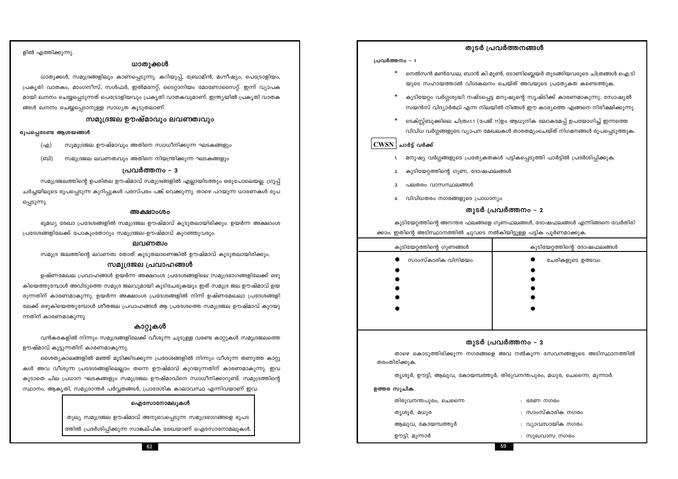59

62

ത്തിൽ പ്രദർശിപ്പിക്കുന്ന സാങ്കല്പിക രേഖയാണ് ഐസോനോമലുകൾ.

ഐസോനോമലൂകൾ

തുല്യ സമുദ്രജല ഊഷ്മാവ് അനുഭവപ്പെടുന്ന സമുദ്രഭാഗങ്ങളെ ഭൂപട

പ്രദേശങ്ങളിലേക്ക് പോകുംതോറും സമുദ്രജല-ഊഷ്മാവ് കുറഞ്ഞുവരും. ലവണത്വം

## സമുദ്രജല പ്രവാഹങ്ങൾ

സമുദ്ര ജലത്തിന്റെ ലവണത്വ തോത് കൂടുതലാണെങ്കിൽ ഊഷ്മാവ് കൂടുതലായിരിക്കും.

ളിൽ എത്തിക്കുന്നു.

രൂപപ്പെടേണ്ട ആശയങ്ങൾ

ന്നതിന് കാരണമാകുന്നു.

ഊഷ്മാവ് കൂട്ടുന്നതിന് കാരണമാകുന്നു.

(എ)

(ബി)

പ്പെടുന്നു.

ങ്ങൾ ഖനനം ചെയ്യപ്പെടാനുള്ള സാധ്യത കൂടുതലാണ്.

ധാതുക്കൾ

പ്രകൃതി വാതകം, മാംഗനീസ്, സൾഫർ, ഇൽമനേറ്റ്, ടൈറ്റാനിയം മോണോസൈറ്റ്. ഇന്ന് വ്യാപക

മായി ഖനനം ചെയ്യപ്പെടുന്നത് പെട്രോളിയവും പ്രകൃതി വാതകവുമാണ്. ഇന്ത്യയിൽ പ്രകൃതി വാതക

സമുദ്രജല ഊഷ്മാവും ലവണത്വവും

സുമുദ്രജല ഊഷ്മാവും അതിനെ സ്വാധീനിക്കുന്ന ഘടകങ്ങളും

സമുദ്രജല ലവണത്വവും അതിനെ നിയന്ത്രിക്കുന്ന ഘടകങ്ങളും

പ്രവർത്തനം – 3

ചർച്ചയിലൂടെ രൂപപ്പെടുന്ന കുറിപ്പുകൾ പരസ്പരം പങ്ക് വെക്കുന്നു. താഴെ പറയുന്ന ധാരണകൾ രൂപ

അക്ഷാംശം

സമുദ്രജലത്തിന്റെ ഉപരിതല ഊഷ്മാവ് സമുദ്രങ്ങളിൽ എല്ലായിടത്തും ഒരുപോലെയല്ല. ഗ്രൂപ്പ്

ധാതുക്കൾ, സമുദ്രങ്ങളിലും കാണപ്പെടുന്നു. കറിയുപ്പ്, ബ്രോമിൻ, മഗ്നീഷ്യം, പെട്രോളിയം,

ഭൂമധ്യ രേഖാ പ്രദേശങ്ങളിൽ സമുദ്രജല ഊഷ്മാവ് കൂടുതലായിരിക്കും. ഉയർന്ന അക്ഷാംശ

ഉഷ്ണമേഖല പ്രവാഹങ്ങൾ ഉയർന്ന അക്ഷാംശ പ്രദേശങ്ങളിലെ സമുദ്രഭാഗങ്ങളിലേക്ക് ഒഴു

കിയെത്തുമ്പോൾ അവിടുത്തെ സമുദ്ര ജലവുമായി കൂടിചേരുകയും ഇത് സമുദ്ര ജല ഊഷ്മാവ് ഉയ രുന്നതിന് കാരണമാകുന്നു. ഉയർന്ന അക്ഷാംശ പ്രദേശങ്ങളിൽ നിന്ന് ഉഷ്ണമേഖലാ പ്രദേശങ്ങളി ലേക്ക് ഒഴുകിയെത്തുമ്പോൾ ശീതജല പ്രവാഹങ്ങൾ ആ പ്രദേശത്തെ സമുദ്രജല ഊഷ്മാവ് കുറയു

കാറ്റുകൾ

കൾ അവ വീശുന്ന പ്രദേശങ്ങളിലെല്ലാം തന്നെ ഊഷ്മാവ് കുറയുന്നതിന് കാരണമാകുന്നു. ഇവ

കൂടാതെ ചില പ്രധാന ഘടകങ്ങളും സമുദ്രജല ഊഷ്മാവിനെ സ്വാധീനിക്കാറുണ്ട്. സമുദ്രത്തിന്റെ

സ്ഥാനം, ആകൃതി, സമുദ്രാന്തർ പർവ്വതങ്ങൾ, പ്രാദേശിക കാലാവസ്ഥ എന്നിവയാണ് ഇവ.

വൻകരകളിൽ നിന്നും സമുദ്രങ്ങളിലേക്ക് വീശുന്ന ചൂടുള്ള വരണ്ട കാറ്റുകൾ സമുദ്രജലത്തെ

ശൈത്യകാലങ്ങളിൽ മഞ്ഞ് മൂടിക്കിടക്കുന്ന പ്രദേശങ്ങളിൽ നിന്നും വീശുന്ന തണുത്ത കാറ്റു

തരംതിരിക്കുക

ഉത്തര സൂചിക.

തിരുവനന്തപുരം, ചെന്നൈ

ആലുവ, കോയമ്പത്തൂർ

തൃശൂർ, മധുര

ഊട്ടി, മുന്നാർ

 $\Delta$ 

കുടിയേറ്റത്തിന്റെ അനന്തര ഫലങ്ങളെ ഗുണഫലങ്ങൾ, ദോഷഫലങ്ങൾ എന്നിങ്ങനെ വേർതിരി ക്കാം. ഇതിന്റെ അടിസ്ഥാനത്തിൽ ചുവടെ നൽകിയിട്ടുള്ള പട്ടിക പൂർണമാക്കുക.

കുടിയേറ്റത്തിന്റെ ഗുണങ്ങൾ സാംസ്കാരിക വിനിമയം

# കുടിയേറ്റം വർഗ്ഗശുദ്ധി നഷ്ടപ്പെട്ട മനുഷ്യന്റെ സൃഷ്ടിക്ക് കാരണമാകുന്നു. സോഷ്യൽ

വിവിധ വർഗ്ഗങ്ങളുടെ വ്യാപന മേഖലകൾ താരതമ്യംചെയ്ത് നിഗമനങ്ങൾ രൂപപ്പെടുത്തുക.

## $|\mathrm{\mathbf{CWSN}}|$  ചാർട്ട് വർക്ക്

പ്രവർത്തനം - 1

പലതരം വാസസ്ഥലങ്ങൾ

- മനുഷ്യ വർഗ്ഗങ്ങളുടെ പ്രത്യേകതകൾ പട്ടികപ്പെടുത്തി പാർട്ടിൽ പ്രദർശിപ്പിക്കുക.
- 
- 
- 
- 
- 
- 

കുടിയേറ്റത്തിന്റെ ഗുണ, ദോഷഫലങ്ങൾ

- 
- 
- 
- 
- 

വിവിധതരം നഗരങ്ങളുടെ പ്രാധാന്യം

### തുടർ പ്രവർത്തനങ്ങൾ

നെൽസൻ മൺഡേല, ബാൻ കി മൂൺ, ടോണിബ്ലെയർ തുടങ്ങിയവരുടെ ചിത്രങ്ങൾ ഐ.ടി യുടെ സഹായത്താൽ വിശകലനം ചെയ്ത് അവയുടെ പ്രത്യേകത കണ്ടെത്തുക.

സയൻസ് വിദ്യാർത്ഥി എന്ന നിലയിൽ നിങ്ങൾ ഈ കാര്യത്തെ എങ്ങനെ നിരീക്ഷിക്കുന്നു. ടെക്സ്റ്റ്ബുക്കിലെ ചിത്രം1.1 (പേജ് 11)ഉം ആധുനിക ലോകമേപ്പ് ഉപയോഗിച്ച് ഇന്നത്തെ

### തുടർ പ്രവർത്തനം – 2

|        | കുടിയേറ്റത്തിന്റെ ദോഷഫലങ്ങൾ |
|--------|-----------------------------|
| 謇      | ചേരികളുടെ ഉത്ഭവം            |
| в      |                             |
| ۰      |                             |
| e      |                             |
| щ      |                             |
| $-4.4$ |                             |

### തുടർ പ്രവർത്തനം –  $3$

താഴെ കൊടുത്തിരിക്കുന്ന നഗരങ്ങളെ അവ നൽകുന്ന സേവനങ്ങളുടെ അടിസ്ഥാനത്തിൽ തൃശൂർ, ഊട്ടി, ആലുവ, കോയമ്പത്തൂർ, തിരുവനന്തപുരം, മധുര, ചെന്നൈ, മുന്നാർ. : ഭരണ നഗരം : സാംസ്കാരിക നഗരം : വ്യാവസായിക നഗരം

: സുഖവാസ നഗരം